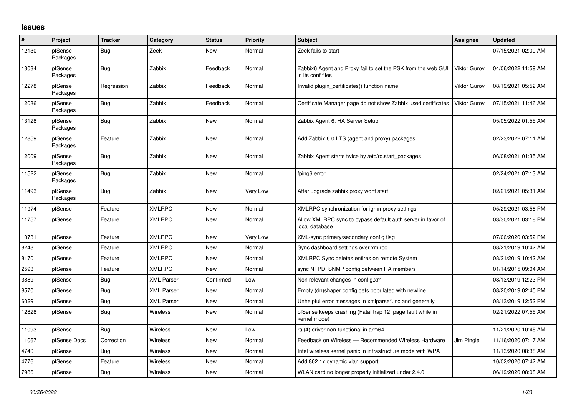## **Issues**

| #     | Project             | <b>Tracker</b> | Category          | <b>Status</b> | <b>Priority</b> | Subject                                                                           | Assignee            | <b>Updated</b>      |
|-------|---------------------|----------------|-------------------|---------------|-----------------|-----------------------------------------------------------------------------------|---------------------|---------------------|
| 12130 | pfSense<br>Packages | Bug            | Zeek              | New           | Normal          | Zeek fails to start                                                               |                     | 07/15/2021 02:00 AM |
| 13034 | pfSense<br>Packages | Bug            | Zabbix            | Feedback      | Normal          | Zabbix6 Agent and Proxy fail to set the PSK from the web GUI<br>in its conf files | <b>Viktor Gurov</b> | 04/06/2022 11:59 AM |
| 12278 | pfSense<br>Packages | Regression     | Zabbix            | Feedback      | Normal          | Invalid plugin certificates() function name                                       | Viktor Gurov        | 08/19/2021 05:52 AM |
| 12036 | pfSense<br>Packages | Bug            | Zabbix            | Feedback      | Normal          | Certificate Manager page do not show Zabbix used certificates                     | <b>Viktor Gurov</b> | 07/15/2021 11:46 AM |
| 13128 | pfSense<br>Packages | Bug            | Zabbix            | <b>New</b>    | Normal          | Zabbix Agent 6: HA Server Setup                                                   |                     | 05/05/2022 01:55 AM |
| 12859 | pfSense<br>Packages | Feature        | Zabbix            | New           | Normal          | Add Zabbix 6.0 LTS (agent and proxy) packages                                     |                     | 02/23/2022 07:11 AM |
| 12009 | pfSense<br>Packages | Bug            | Zabbix            | New           | Normal          | Zabbix Agent starts twice by /etc/rc.start_packages                               |                     | 06/08/2021 01:35 AM |
| 11522 | pfSense<br>Packages | Bug            | Zabbix            | New           | Normal          | fping6 error                                                                      |                     | 02/24/2021 07:13 AM |
| 11493 | pfSense<br>Packages | Bug            | Zabbix            | New           | Very Low        | After upgrade zabbix proxy wont start                                             |                     | 02/21/2021 05:31 AM |
| 11974 | pfSense             | Feature        | <b>XMLRPC</b>     | New           | Normal          | XMLRPC synchronization for igmmproxy settings                                     |                     | 05/29/2021 03:58 PM |
| 11757 | pfSense             | Feature        | <b>XMLRPC</b>     | New           | Normal          | Allow XMLRPC sync to bypass default auth server in favor of<br>local database     |                     | 03/30/2021 03:18 PM |
| 10731 | pfSense             | Feature        | <b>XMLRPC</b>     | New           | Very Low        | XML-sync primary/secondary config flag                                            |                     | 07/06/2020 03:52 PM |
| 8243  | pfSense             | Feature        | <b>XMLRPC</b>     | <b>New</b>    | Normal          | Sync dashboard settings over xmlrpc                                               |                     | 08/21/2019 10:42 AM |
| 8170  | pfSense             | Feature        | <b>XMLRPC</b>     | New           | Normal          | XMLRPC Sync deletes entires on remote System                                      |                     | 08/21/2019 10:42 AM |
| 2593  | pfSense             | Feature        | <b>XMLRPC</b>     | New           | Normal          | sync NTPD, SNMP config between HA members                                         |                     | 01/14/2015 09:04 AM |
| 3889  | pfSense             | Bug            | <b>XML Parser</b> | Confirmed     | Low             | Non relevant changes in config.xml                                                |                     | 08/13/2019 12:23 PM |
| 8570  | pfSense             | Bug            | <b>XML Parser</b> | New           | Normal          | Empty (dn)shaper config gets populated with newline                               |                     | 08/20/2019 02:45 PM |
| 6029  | pfSense             | Bug            | <b>XML Parser</b> | New           | Normal          | Unhelpful error messages in xmlparse*.inc and generally                           |                     | 08/13/2019 12:52 PM |
| 12828 | pfSense             | Bug            | <b>Wireless</b>   | <b>New</b>    | Normal          | pfSense keeps crashing (Fatal trap 12: page fault while in<br>kernel mode)        |                     | 02/21/2022 07:55 AM |
| 11093 | pfSense             | <b>Bug</b>     | <b>Wireless</b>   | <b>New</b>    | Low             | ral(4) driver non-functional in arm64                                             |                     | 11/21/2020 10:45 AM |
| 11067 | pfSense Docs        | Correction     | Wireless          | New           | Normal          | Feedback on Wireless - Recommended Wireless Hardware                              | Jim Pingle          | 11/16/2020 07:17 AM |
| 4740  | pfSense             | Bug            | <b>Wireless</b>   | New           | Normal          | Intel wireless kernel panic in infrastructure mode with WPA                       |                     | 11/13/2020 08:38 AM |
| 4776  | pfSense             | Feature        | <b>Wireless</b>   | <b>New</b>    | Normal          | Add 802.1x dynamic vlan support                                                   |                     | 10/02/2020 07:42 AM |
| 7986  | pfSense             | Bug            | Wireless          | <b>New</b>    | Normal          | WLAN card no longer properly initialized under 2.4.0                              |                     | 06/19/2020 08:08 AM |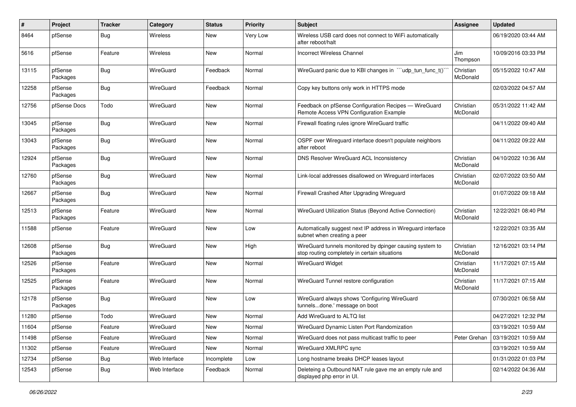| $\#$  | Project             | <b>Tracker</b> | Category         | <b>Status</b> | <b>Priority</b> | <b>Subject</b>                                                                                            | <b>Assignee</b>       | <b>Updated</b>      |
|-------|---------------------|----------------|------------------|---------------|-----------------|-----------------------------------------------------------------------------------------------------------|-----------------------|---------------------|
| 8464  | pfSense             | Bug            | <b>Wireless</b>  | New           | Very Low        | Wireless USB card does not connect to WiFi automatically<br>after reboot/halt                             |                       | 06/19/2020 03:44 AM |
| 5616  | pfSense             | Feature        | Wireless         | <b>New</b>    | Normal          | <b>Incorrect Wireless Channel</b>                                                                         | Jim<br>Thompson       | 10/09/2016 03:33 PM |
| 13115 | pfSense<br>Packages | <b>Bug</b>     | <b>WireGuard</b> | Feedback      | Normal          | WireGuard panic due to KBI changes in ```udp_tun_func_t()`                                                | Christian<br>McDonald | 05/15/2022 10:47 AM |
| 12258 | pfSense<br>Packages | Bug            | WireGuard        | Feedback      | Normal          | Copy key buttons only work in HTTPS mode                                                                  |                       | 02/03/2022 04:57 AM |
| 12756 | pfSense Docs        | Todo           | WireGuard        | <b>New</b>    | Normal          | Feedback on pfSense Configuration Recipes - WireGuard<br>Remote Access VPN Configuration Example          | Christian<br>McDonald | 05/31/2022 11:42 AM |
| 13045 | pfSense<br>Packages | Bug            | WireGuard        | <b>New</b>    | Normal          | Firewall floating rules ignore WireGuard traffic                                                          |                       | 04/11/2022 09:40 AM |
| 13043 | pfSense<br>Packages | Bug            | <b>WireGuard</b> | <b>New</b>    | Normal          | OSPF over Wireguard interface doesn't populate neighbors<br>after reboot                                  |                       | 04/11/2022 09:22 AM |
| 12924 | pfSense<br>Packages | Bug            | WireGuard        | <b>New</b>    | Normal          | DNS Resolver WireGuard ACL Inconsistency                                                                  | Christian<br>McDonald | 04/10/2022 10:36 AM |
| 12760 | pfSense<br>Packages | <b>Bug</b>     | <b>WireGuard</b> | <b>New</b>    | Normal          | Link-local addresses disallowed on Wireguard interfaces                                                   | Christian<br>McDonald | 02/07/2022 03:50 AM |
| 12667 | pfSense<br>Packages | Bug            | WireGuard        | <b>New</b>    | Normal          | Firewall Crashed After Upgrading Wireguard                                                                |                       | 01/07/2022 09:18 AM |
| 12513 | pfSense<br>Packages | Feature        | WireGuard        | <b>New</b>    | Normal          | WireGuard Utilization Status (Beyond Active Connection)                                                   | Christian<br>McDonald | 12/22/2021 08:40 PM |
| 11588 | pfSense             | Feature        | WireGuard        | <b>New</b>    | Low             | Automatically suggest next IP address in Wireguard interface<br>subnet when creating a peer               |                       | 12/22/2021 03:35 AM |
| 12608 | pfSense<br>Packages | Bug            | <b>WireGuard</b> | <b>New</b>    | High            | WireGuard tunnels monitored by dpinger causing system to<br>stop routing completely in certain situations | Christian<br>McDonald | 12/16/2021 03:14 PM |
| 12526 | pfSense<br>Packages | Feature        | WireGuard        | <b>New</b>    | Normal          | <b>WireGuard Widget</b>                                                                                   | Christian<br>McDonald | 11/17/2021 07:15 AM |
| 12525 | pfSense<br>Packages | Feature        | WireGuard        | <b>New</b>    | Normal          | WireGuard Tunnel restore configuration                                                                    | Christian<br>McDonald | 11/17/2021 07:15 AM |
| 12178 | pfSense<br>Packages | Bug            | <b>WireGuard</b> | <b>New</b>    | Low             | WireGuard always shows 'Configuring WireGuard<br>tunnelsdone.' message on boot                            |                       | 07/30/2021 06:58 AM |
| 11280 | pfSense             | Todo           | WireGuard        | <b>New</b>    | Normal          | Add WireGuard to ALTQ list                                                                                |                       | 04/27/2021 12:32 PM |
| 11604 | pfSense             | Feature        | WireGuard        | New           | Normal          | WireGuard Dynamic Listen Port Randomization                                                               |                       | 03/19/2021 10:59 AM |
| 11498 | pfSense             | Feature        | WireGuard        | New           | Normal          | WireGuard does not pass multicast traffic to peer                                                         | Peter Grehan          | 03/19/2021 10:59 AM |
| 11302 | pfSense             | Feature        | WireGuard        | New           | Normal          | WireGuard XMLRPC sync                                                                                     |                       | 03/19/2021 10:59 AM |
| 12734 | pfSense             | <b>Bug</b>     | Web Interface    | Incomplete    | Low             | Long hostname breaks DHCP leases layout                                                                   |                       | 01/31/2022 01:03 PM |
| 12543 | pfSense             | Bug            | Web Interface    | Feedback      | Normal          | Deleteing a Outbound NAT rule gave me an empty rule and<br>displayed php error in UI.                     |                       | 02/14/2022 04:36 AM |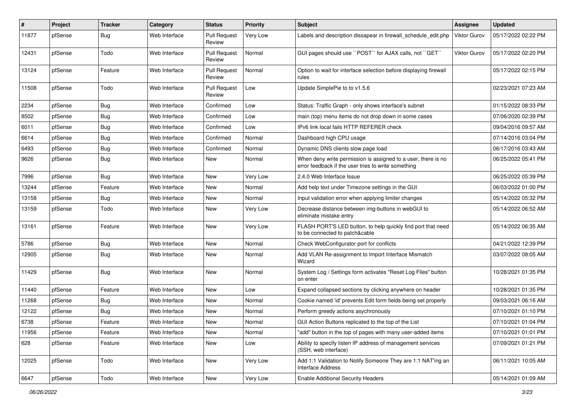| #     | Project | Tracker    | Category      | <b>Status</b>                 | <b>Priority</b> | Subject                                                                                                              | Assignee            | <b>Updated</b>      |
|-------|---------|------------|---------------|-------------------------------|-----------------|----------------------------------------------------------------------------------------------------------------------|---------------------|---------------------|
| 11877 | pfSense | <b>Bug</b> | Web Interface | <b>Pull Request</b><br>Review | Very Low        | Labels and description dissapear in firewall schedule edit.php                                                       | <b>Viktor Gurov</b> | 05/17/2022 02:22 PM |
| 12431 | pfSense | Todo       | Web Interface | <b>Pull Request</b><br>Review | Normal          | GUI pages should use "POST" for AJAX calls, not "GET"                                                                | <b>Viktor Gurov</b> | 05/17/2022 02:20 PM |
| 13124 | pfSense | Feature    | Web Interface | <b>Pull Request</b><br>Review | Normal          | Option to wait for interface selection before displaying firewall<br>rules                                           |                     | 05/17/2022 02:15 PM |
| 11508 | pfSense | Todo       | Web Interface | Pull Request<br>Review        | Low             | Update SimplePie to to v1.5.6                                                                                        |                     | 02/23/2021 07:23 AM |
| 2234  | pfSense | Bug        | Web Interface | Confirmed                     | Low             | Status: Traffic Graph - only shows interface's subnet                                                                |                     | 01/15/2022 08:33 PM |
| 8502  | pfSense | <b>Bug</b> | Web Interface | Confirmed                     | Low             | main (top) menu items do not drop down in some cases                                                                 |                     | 07/06/2020 02:39 PM |
| 6011  | pfSense | <b>Bug</b> | Web Interface | Confirmed                     | Low             | IPv6 link local fails HTTP REFERER check                                                                             |                     | 09/04/2016 09:57 AM |
| 6614  | pfSense | Bug        | Web Interface | Confirmed                     | Normal          | Dashboard high CPU usage                                                                                             |                     | 07/14/2016 03:04 PM |
| 6493  | pfSense | <b>Bug</b> | Web Interface | Confirmed                     | Normal          | Dynamic DNS clients slow page load                                                                                   |                     | 06/17/2016 03:43 AM |
| 9626  | pfSense | <b>Bug</b> | Web Interface | New                           | Normal          | When deny write permission is assigned to a user, there is no<br>error feedback if the user tries to write something |                     | 06/25/2022 05:41 PM |
| 7996  | pfSense | Bug        | Web Interface | New                           | Very Low        | 2.4.0 Web Interface Issue                                                                                            |                     | 06/25/2022 05:39 PM |
| 13244 | pfSense | Feature    | Web Interface | <b>New</b>                    | Normal          | Add help text under Timezone settings in the GUI                                                                     |                     | 06/03/2022 01:00 PM |
| 13158 | pfSense | <b>Bug</b> | Web Interface | <b>New</b>                    | Normal          | Input validation error when applying limiter changes                                                                 |                     | 05/14/2022 05:32 PM |
| 13159 | pfSense | Todo       | Web Interface | New                           | Very Low        | Decrease distance between img-buttons in webGUI to<br>eliminate mistake entry                                        |                     | 05/14/2022 06:52 AM |
| 13161 | pfSense | Feature    | Web Interface | <b>New</b>                    | Very Low        | FLASH PORT'S LED button, to help quickly find port that need<br>to be connected to patch&cable                       |                     | 05/14/2022 06:35 AM |
| 5786  | pfSense | <b>Bug</b> | Web Interface | <b>New</b>                    | Normal          | Check WebConfigurator port for conflicts                                                                             |                     | 04/21/2022 12:39 PM |
| 12905 | pfSense | Bug        | Web Interface | New                           | Normal          | Add VLAN Re-assignment to Import Interface Mismatch<br>Wizard                                                        |                     | 03/07/2022 08:05 AM |
| 11429 | pfSense | Bug        | Web Interface | <b>New</b>                    | Normal          | System Log / Settings form activates "Reset Log Files" button<br>on enter                                            |                     | 10/28/2021 01:35 PM |
| 11440 | pfSense | Feature    | Web Interface | <b>New</b>                    | Low             | Expand collapsed sections by clicking anywhere on header                                                             |                     | 10/28/2021 01:35 PM |
| 11268 | pfSense | Bug        | Web Interface | New                           | Normal          | Cookie named 'id' prevents Edit form fields being set properly                                                       |                     | 09/03/2021 06:16 AM |
| 12122 | pfSense | <b>Bug</b> | Web Interface | New                           | Normal          | Perform greedy actions asychronously                                                                                 |                     | 07/10/2021 01:10 PM |
| 6738  | pfSense | Feature    | Web Interface | New                           | Normal          | GUI Action Buttons replicated to the top of the List                                                                 |                     | 07/10/2021 01:04 PM |
| 11956 | pfSense | Feature    | Web Interface | New                           | Normal          | "add" button in the top of pages with many user-added items                                                          |                     | 07/10/2021 01:01 PM |
| 628   | pfSense | Feature    | Web Interface | New                           | Low             | Ability to specify listen IP address of management services<br>(SSH, web interface)                                  |                     | 07/09/2021 01:21 PM |
| 12025 | pfSense | Todo       | Web Interface | New                           | Very Low        | Add 1:1 Validation to Notify Someone They are 1:1 NAT'ing an<br><b>Interface Address</b>                             |                     | 06/11/2021 10:05 AM |
| 6647  | pfSense | Todo       | Web Interface | New                           | Very Low        | <b>Enable Additional Security Headers</b>                                                                            |                     | 05/14/2021 01:09 AM |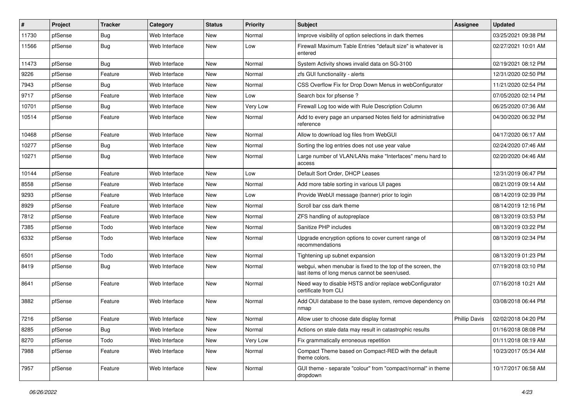| #     | Project | <b>Tracker</b> | Category      | <b>Status</b> | <b>Priority</b> | Subject                                                                                                      | <b>Assignee</b>      | <b>Updated</b>      |
|-------|---------|----------------|---------------|---------------|-----------------|--------------------------------------------------------------------------------------------------------------|----------------------|---------------------|
| 11730 | pfSense | <b>Bug</b>     | Web Interface | New           | Normal          | Improve visibility of option selections in dark themes                                                       |                      | 03/25/2021 09:38 PM |
| 11566 | pfSense | Bug            | Web Interface | New           | Low             | Firewall Maximum Table Entries "default size" is whatever is<br>entered                                      |                      | 02/27/2021 10:01 AM |
| 11473 | pfSense | Bug            | Web Interface | <b>New</b>    | Normal          | System Activity shows invalid data on SG-3100                                                                |                      | 02/19/2021 08:12 PM |
| 9226  | pfSense | Feature        | Web Interface | New           | Normal          | zfs GUI functionality - alerts                                                                               |                      | 12/31/2020 02:50 PM |
| 7943  | pfSense | Bug            | Web Interface | New           | Normal          | CSS Overflow Fix for Drop Down Menus in webConfigurator                                                      |                      | 11/21/2020 02:54 PM |
| 9717  | pfSense | Feature        | Web Interface | <b>New</b>    | Low             | Search box for pfsense?                                                                                      |                      | 07/05/2020 02:14 PM |
| 10701 | pfSense | Bug            | Web Interface | New           | Very Low        | Firewall Log too wide with Rule Description Column                                                           |                      | 06/25/2020 07:36 AM |
| 10514 | pfSense | Feature        | Web Interface | New           | Normal          | Add to every page an unparsed Notes field for administrative<br>reference                                    |                      | 04/30/2020 06:32 PM |
| 10468 | pfSense | Feature        | Web Interface | New           | Normal          | Allow to download log files from WebGUI                                                                      |                      | 04/17/2020 06:17 AM |
| 10277 | pfSense | <b>Bug</b>     | Web Interface | New           | Normal          | Sorting the log entries does not use year value                                                              |                      | 02/24/2020 07:46 AM |
| 10271 | pfSense | Bug            | Web Interface | New           | Normal          | Large number of VLAN/LANs make "Interfaces" menu hard to<br>access                                           |                      | 02/20/2020 04:46 AM |
| 10144 | pfSense | Feature        | Web Interface | New           | Low             | Default Sort Order, DHCP Leases                                                                              |                      | 12/31/2019 06:47 PM |
| 8558  | pfSense | Feature        | Web Interface | <b>New</b>    | Normal          | Add more table sorting in various UI pages                                                                   |                      | 08/21/2019 09:14 AM |
| 9293  | pfSense | Feature        | Web Interface | New           | Low             | Provide WebUI message (banner) prior to login                                                                |                      | 08/14/2019 02:39 PM |
| 8929  | pfSense | Feature        | Web Interface | New           | Normal          | Scroll bar css dark theme                                                                                    |                      | 08/14/2019 12:16 PM |
| 7812  | pfSense | Feature        | Web Interface | New           | Normal          | ZFS handling of autopreplace                                                                                 |                      | 08/13/2019 03:53 PM |
| 7385  | pfSense | Todo           | Web Interface | New           | Normal          | Sanitize PHP includes                                                                                        |                      | 08/13/2019 03:22 PM |
| 6332  | pfSense | Todo           | Web Interface | <b>New</b>    | Normal          | Upgrade encryption options to cover current range of<br>recommendations                                      |                      | 08/13/2019 02:34 PM |
| 6501  | pfSense | Todo           | Web Interface | <b>New</b>    | Normal          | Tightening up subnet expansion                                                                               |                      | 08/13/2019 01:23 PM |
| 8419  | pfSense | Bug            | Web Interface | <b>New</b>    | Normal          | webgui, when menubar is fixed to the top of the screen, the<br>last items of long menus cannot be seen/used. |                      | 07/19/2018 03:10 PM |
| 8641  | pfSense | Feature        | Web Interface | New           | Normal          | Need way to disable HSTS and/or replace webConfigurator<br>certificate from CLI                              |                      | 07/16/2018 10:21 AM |
| 3882  | pfSense | Feature        | Web Interface | <b>New</b>    | Normal          | Add OUI database to the base system, remove dependency on<br>nmap                                            |                      | 03/08/2018 06:44 PM |
| 7216  | pfSense | Feature        | Web Interface | New           | Normal          | Allow user to choose date display format                                                                     | <b>Phillip Davis</b> | 02/02/2018 04:20 PM |
| 8285  | pfSense | <b>Bug</b>     | Web Interface | New           | Normal          | Actions on stale data may result in catastrophic results                                                     |                      | 01/16/2018 08:08 PM |
| 8270  | pfSense | Todo           | Web Interface | New           | Very Low        | Fix grammatically erroneous repetition                                                                       |                      | 01/11/2018 08:19 AM |
| 7988  | pfSense | Feature        | Web Interface | New           | Normal          | Compact Theme based on Compact-RED with the default<br>theme colors.                                         |                      | 10/23/2017 05:34 AM |
| 7957  | pfSense | Feature        | Web Interface | New           | Normal          | GUI theme - separate "colour" from "compact/normal" in theme<br>dropdown                                     |                      | 10/17/2017 06:58 AM |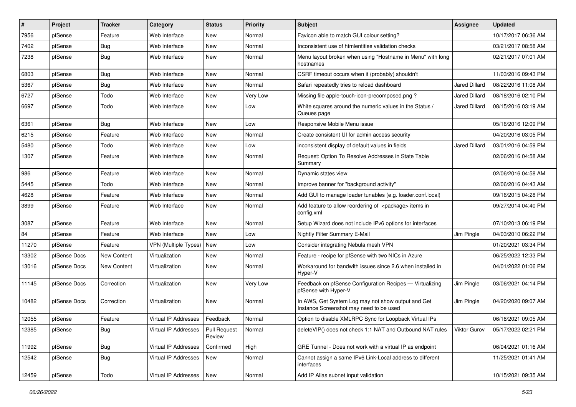| $\sharp$ | Project      | <b>Tracker</b> | Category             | <b>Status</b>          | <b>Priority</b> | Subject                                                                                       | <b>Assignee</b>      | <b>Updated</b>      |
|----------|--------------|----------------|----------------------|------------------------|-----------------|-----------------------------------------------------------------------------------------------|----------------------|---------------------|
| 7956     | pfSense      | Feature        | Web Interface        | New                    | Normal          | Favicon able to match GUI colour setting?                                                     |                      | 10/17/2017 06:36 AM |
| 7402     | pfSense      | <b>Bug</b>     | Web Interface        | New                    | Normal          | Inconsistent use of htmlentities validation checks                                            |                      | 03/21/2017 08:58 AM |
| 7238     | pfSense      | Bug            | Web Interface        | New                    | Normal          | Menu layout broken when using "Hostname in Menu" with long<br>hostnames                       |                      | 02/21/2017 07:01 AM |
| 6803     | pfSense      | <b>Bug</b>     | Web Interface        | New                    | Normal          | CSRF timeout occurs when it (probably) shouldn't                                              |                      | 11/03/2016 09:43 PM |
| 5367     | pfSense      | <b>Bug</b>     | Web Interface        | New                    | Normal          | Safari repeatedly tries to reload dashboard                                                   | Jared Dillard        | 08/22/2016 11:08 AM |
| 6727     | pfSense      | Todo           | Web Interface        | New                    | <b>Very Low</b> | Missing file apple-touch-icon-precomposed.png?                                                | Jared Dillard        | 08/18/2016 02:10 PM |
| 6697     | pfSense      | Todo           | Web Interface        | New                    | Low             | White squares around the numeric values in the Status /<br>Queues page                        | <b>Jared Dillard</b> | 08/15/2016 03:19 AM |
| 6361     | pfSense      | Bug            | Web Interface        | <b>New</b>             | Low             | Responsive Mobile Menu issue                                                                  |                      | 05/16/2016 12:09 PM |
| 6215     | pfSense      | Feature        | Web Interface        | New                    | Normal          | Create consistent UI for admin access security                                                |                      | 04/20/2016 03:05 PM |
| 5480     | pfSense      | Todo           | Web Interface        | New                    | Low             | inconsistent display of default values in fields                                              | <b>Jared Dillard</b> | 03/01/2016 04:59 PM |
| 1307     | pfSense      | Feature        | Web Interface        | New                    | Normal          | Request: Option To Resolve Addresses in State Table<br>Summary                                |                      | 02/06/2016 04:58 AM |
| 986      | pfSense      | Feature        | Web Interface        | New                    | Normal          | Dynamic states view                                                                           |                      | 02/06/2016 04:58 AM |
| 5445     | pfSense      | Todo           | Web Interface        | New                    | Normal          | Improve banner for "background activity"                                                      |                      | 02/06/2016 04:43 AM |
| 4628     | pfSense      | Feature        | Web Interface        | New                    | Normal          | Add GUI to manage loader tunables (e.g. loader.conf.local)                                    |                      | 09/16/2015 04:28 PM |
| 3899     | pfSense      | Feature        | Web Interface        | New                    | Normal          | Add feature to allow reordering of <package> items in<br/>config.xml</package>                |                      | 09/27/2014 04:40 PM |
| 3087     | pfSense      | Feature        | Web Interface        | New                    | Normal          | Setup Wizard does not include IPv6 options for interfaces                                     |                      | 07/10/2013 06:19 PM |
| 84       | pfSense      | Feature        | Web Interface        | New                    | Low             | Nightly Filter Summary E-Mail                                                                 | Jim Pingle           | 04/03/2010 06:22 PM |
| 11270    | pfSense      | Feature        | VPN (Multiple Types) | New                    | Low             | Consider integrating Nebula mesh VPN                                                          |                      | 01/20/2021 03:34 PM |
| 13302    | pfSense Docs | New Content    | Virtualization       | New                    | Normal          | Feature - recipe for pfSense with two NICs in Azure                                           |                      | 06/25/2022 12:33 PM |
| 13016    | pfSense Docs | New Content    | Virtualization       | New                    | Normal          | Workaround for bandwith issues since 2.6 when installed in<br>Hyper-V                         |                      | 04/01/2022 01:06 PM |
| 11145    | pfSense Docs | Correction     | Virtualization       | New                    | Very Low        | Feedback on pfSense Configuration Recipes - Virtualizing<br>pfSense with Hyper-V              | Jim Pingle           | 03/06/2021 04:14 PM |
| 10482    | pfSense Docs | Correction     | Virtualization       | New                    | Normal          | In AWS, Get System Log may not show output and Get<br>Instance Screenshot may need to be used | Jim Pingle           | 04/20/2020 09:07 AM |
| 12055    | pfSense      | Feature        | Virtual IP Addresses | Feedback               | Normal          | Option to disable XMLRPC Sync for Loopback Virtual IPs                                        |                      | 06/18/2021 09:05 AM |
| 12385    | pfSense      | <b>Bug</b>     | Virtual IP Addresses | Pull Request<br>Review | Normal          | deleteVIP() does not check 1:1 NAT and Outbound NAT rules                                     | Viktor Gurov         | 05/17/2022 02:21 PM |
| 11992    | pfSense      | <b>Bug</b>     | Virtual IP Addresses | Confirmed              | High            | GRE Tunnel - Does not work with a virtual IP as endpoint                                      |                      | 06/04/2021 01:16 AM |
| 12542    | pfSense      | Bug            | Virtual IP Addresses | New                    | Normal          | Cannot assign a same IPv6 Link-Local address to different<br>interfaces                       |                      | 11/25/2021 01:41 AM |
| 12459    | pfSense      | Todo           | Virtual IP Addresses | New                    | Normal          | Add IP Alias subnet input validation                                                          |                      | 10/15/2021 09:35 AM |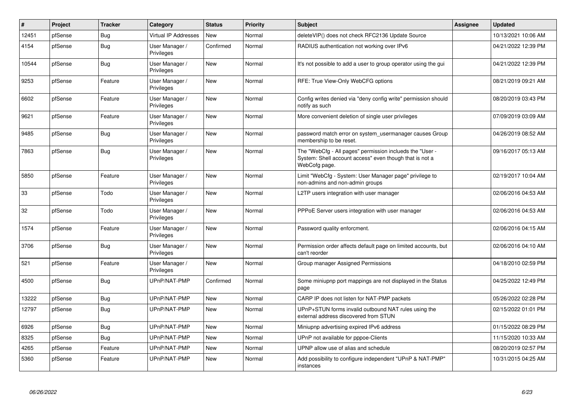| $\vert$ # | Project | <b>Tracker</b> | Category                     | <b>Status</b> | <b>Priority</b> | <b>Subject</b>                                                                                                                       | <b>Assignee</b> | <b>Updated</b>      |
|-----------|---------|----------------|------------------------------|---------------|-----------------|--------------------------------------------------------------------------------------------------------------------------------------|-----------------|---------------------|
| 12451     | pfSense | <b>Bug</b>     | <b>Virtual IP Addresses</b>  | <b>New</b>    | Normal          | deleteVIP() does not check RFC2136 Update Source                                                                                     |                 | 10/13/2021 10:06 AM |
| 4154      | pfSense | <b>Bug</b>     | User Manager /<br>Privileges | Confirmed     | Normal          | RADIUS authentication not working over IPv6                                                                                          |                 | 04/21/2022 12:39 PM |
| 10544     | pfSense | Bug            | User Manager /<br>Privileges | New           | Normal          | It's not possible to add a user to group operator using the gui                                                                      |                 | 04/21/2022 12:39 PM |
| 9253      | pfSense | Feature        | User Manager /<br>Privileges | <b>New</b>    | Normal          | RFE: True View-Only WebCFG options                                                                                                   |                 | 08/21/2019 09:21 AM |
| 6602      | pfSense | Feature        | User Manager /<br>Privileges | <b>New</b>    | Normal          | Config writes denied via "deny config write" permission should<br>notify as such                                                     |                 | 08/20/2019 03:43 PM |
| 9621      | pfSense | Feature        | User Manager /<br>Privileges | New           | Normal          | More convenient deletion of single user privileges                                                                                   |                 | 07/09/2019 03:09 AM |
| 9485      | pfSense | <b>Bug</b>     | User Manager /<br>Privileges | <b>New</b>    | Normal          | password match error on system usermanager causes Group<br>membership to be reset.                                                   |                 | 04/26/2019 08:52 AM |
| 7863      | pfSense | Bug            | User Manager /<br>Privileges | <b>New</b>    | Normal          | The "WebCfg - All pages" permission inclueds the "User -<br>System: Shell account access" even though that is not a<br>WebCofg page. |                 | 09/16/2017 05:13 AM |
| 5850      | pfSense | Feature        | User Manager /<br>Privileges | <b>New</b>    | Normal          | Limit "WebCfg - System: User Manager page" privilege to<br>non-admins and non-admin groups                                           |                 | 02/19/2017 10:04 AM |
| 33        | pfSense | Todo           | User Manager /<br>Privileges | <b>New</b>    | Normal          | L2TP users integration with user manager                                                                                             |                 | 02/06/2016 04:53 AM |
| 32        | pfSense | Todo           | User Manager /<br>Privileges | <b>New</b>    | Normal          | PPPoE Server users integration with user manager                                                                                     |                 | 02/06/2016 04:53 AM |
| 1574      | pfSense | Feature        | User Manager /<br>Privileges | <b>New</b>    | Normal          | Password quality enforcment.                                                                                                         |                 | 02/06/2016 04:15 AM |
| 3706      | pfSense | <b>Bug</b>     | User Manager /<br>Privileges | New           | Normal          | Permission order affects default page on limited accounts, but<br>can't reorder                                                      |                 | 02/06/2016 04:10 AM |
| 521       | pfSense | Feature        | User Manager /<br>Privileges | <b>New</b>    | Normal          | Group manager Assigned Permissions                                                                                                   |                 | 04/18/2010 02:59 PM |
| 4500      | pfSense | <b>Bug</b>     | UPnP/NAT-PMP                 | Confirmed     | Normal          | Some miniupnp port mappings are not displayed in the Status<br>page                                                                  |                 | 04/25/2022 12:49 PM |
| 13222     | pfSense | Bug            | UPnP/NAT-PMP                 | <b>New</b>    | Normal          | CARP IP does not listen for NAT-PMP packets                                                                                          |                 | 05/26/2022 02:28 PM |
| 12797     | pfSense | <b>Bug</b>     | UPnP/NAT-PMP                 | New           | Normal          | UPnP+STUN forms invalid outbound NAT rules using the<br>external address discovered from STUN                                        |                 | 02/15/2022 01:01 PM |
| 6926      | pfSense | <b>Bug</b>     | UPnP/NAT-PMP                 | <b>New</b>    | Normal          | Miniupnp advertising expired IPv6 address                                                                                            |                 | 01/15/2022 08:29 PM |
| 8325      | pfSense | Bug            | UPnP/NAT-PMP                 | New           | Normal          | UPnP not available for pppoe-Clients                                                                                                 |                 | 11/15/2020 10:33 AM |
| 4265      | pfSense | Feature        | UPnP/NAT-PMP                 | <b>New</b>    | Normal          | UPNP allow use of alias and schedule                                                                                                 |                 | 08/20/2019 02:57 PM |
| 5360      | pfSense | Feature        | UPnP/NAT-PMP                 | <b>New</b>    | Normal          | Add possibility to configure independent "UPnP & NAT-PMP"<br>instances                                                               |                 | 10/31/2015 04:25 AM |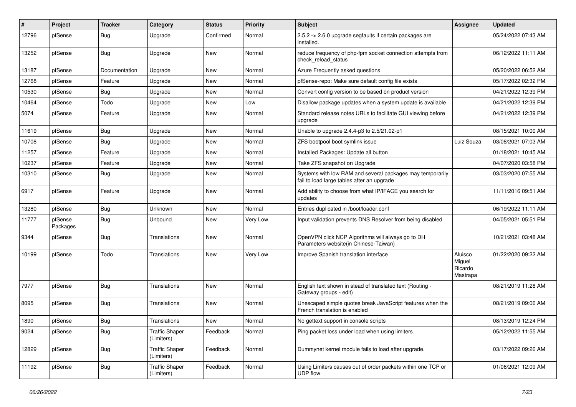| ∦     | Project             | <b>Tracker</b> | Category                            | <b>Status</b> | <b>Priority</b> | <b>Subject</b>                                                                                          | Assignee                                 | <b>Updated</b>      |
|-------|---------------------|----------------|-------------------------------------|---------------|-----------------|---------------------------------------------------------------------------------------------------------|------------------------------------------|---------------------|
| 12796 | pfSense             | Bug            | Upgrade                             | Confirmed     | Normal          | 2.5.2 -> 2.6.0 upgrade segfaults if certain packages are<br>installed.                                  |                                          | 05/24/2022 07:43 AM |
| 13252 | pfSense             | Bug            | Upgrade                             | New           | Normal          | reduce frequency of php-fpm socket connection attempts from<br>check reload status                      |                                          | 06/12/2022 11:11 AM |
| 13187 | pfSense             | Documentation  | Upgrade                             | <b>New</b>    | Normal          | Azure Frequently asked questions                                                                        |                                          | 05/20/2022 06:52 AM |
| 12768 | pfSense             | Feature        | Upgrade                             | New           | Normal          | pfSense-repo: Make sure default config file exists                                                      |                                          | 05/17/2022 02:32 PM |
| 10530 | pfSense             | Bug            | Upgrade                             | New           | Normal          | Convert config version to be based on product version                                                   |                                          | 04/21/2022 12:39 PM |
| 10464 | pfSense             | Todo           | Upgrade                             | New           | Low             | Disallow package updates when a system update is available                                              |                                          | 04/21/2022 12:39 PM |
| 5074  | pfSense             | Feature        | Upgrade                             | New           | Normal          | Standard release notes URLs to facilitate GUI viewing before<br>upgrade                                 |                                          | 04/21/2022 12:39 PM |
| 11619 | pfSense             | Bug            | Upgrade                             | New           | Normal          | Unable to upgrade 2.4.4-p3 to 2.5/21.02-p1                                                              |                                          | 08/15/2021 10:00 AM |
| 10708 | pfSense             | Bug            | Upgrade                             | New           | Normal          | ZFS bootpool boot symlink issue                                                                         | Luiz Souza                               | 03/08/2021 07:03 AM |
| 11257 | pfSense             | Feature        | Upgrade                             | <b>New</b>    | Normal          | Installed Packages: Update all button                                                                   |                                          | 01/18/2021 10:45 AM |
| 10237 | pfSense             | Feature        | Upgrade                             | New           | Normal          | Take ZFS snapshot on Upgrade                                                                            |                                          | 04/07/2020 03:58 PM |
| 10310 | pfSense             | Bug            | Upgrade                             | New           | Normal          | Systems with low RAM and several packages may temporarily<br>fail to load large tables after an upgrade |                                          | 03/03/2020 07:55 AM |
| 6917  | pfSense             | Feature        | Upgrade                             | New           | Normal          | Add ability to choose from what IP/IFACE you search for<br>updates                                      |                                          | 11/11/2016 09:51 AM |
| 13280 | pfSense             | Bug            | Unknown                             | New           | Normal          | Entries duplicated in /boot/loader.conf                                                                 |                                          | 06/19/2022 11:11 AM |
| 11777 | pfSense<br>Packages | Bug            | Unbound                             | New           | Very Low        | Input validation prevents DNS Resolver from being disabled                                              |                                          | 04/05/2021 05:51 PM |
| 9344  | pfSense             | Bug            | Translations                        | New           | Normal          | OpenVPN click NCP Algorithms will always go to DH<br>Parameters website(in Chinese-Taiwan)              |                                          | 10/21/2021 03:48 AM |
| 10199 | pfSense             | Todo           | Translations                        | <b>New</b>    | Very Low        | Improve Spanish translation interface                                                                   | Aluisco<br>Miguel<br>Ricardo<br>Mastrapa | 01/22/2020 09:22 AM |
| 7977  | pfSense             | <b>Bug</b>     | Translations                        | <b>New</b>    | Normal          | English text shown in stead of translated text (Routing -<br>Gateway groups - edit)                     |                                          | 08/21/2019 11:28 AM |
| 8095  | pfSense             | Bug            | Translations                        | New           | Normal          | Unescaped simple quotes break JavaScript features when the<br>French translation is enabled             |                                          | 08/21/2019 09:06 AM |
| 1890  | pfSense             | Bug            | Translations                        | New           | Normal          | No gettext support in console scripts                                                                   |                                          | 08/13/2019 12:24 PM |
| 9024  | pfSense             | Bug            | <b>Traffic Shaper</b><br>(Limiters) | Feedback      | Normal          | Ping packet loss under load when using limiters                                                         |                                          | 05/12/2022 11:55 AM |
| 12829 | pfSense             | Bug            | <b>Traffic Shaper</b><br>(Limiters) | Feedback      | Normal          | Dummynet kernel module fails to load after upgrade.                                                     |                                          | 03/17/2022 09:26 AM |
| 11192 | pfSense             | Bug            | <b>Traffic Shaper</b><br>(Limiters) | Feedback      | Normal          | Using Limiters causes out of order packets within one TCP or<br>UDP flow                                |                                          | 01/06/2021 12:09 AM |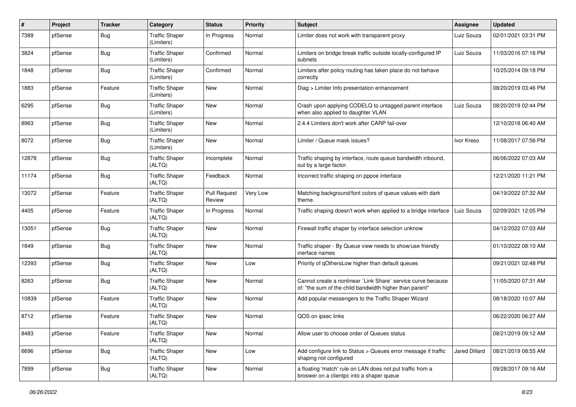| ∦     | Project | <b>Tracker</b> | Category                            | <b>Status</b>                 | <b>Priority</b> | Subject                                                                                                                 | <b>Assignee</b>      | <b>Updated</b>      |
|-------|---------|----------------|-------------------------------------|-------------------------------|-----------------|-------------------------------------------------------------------------------------------------------------------------|----------------------|---------------------|
| 7389  | pfSense | Bug            | <b>Traffic Shaper</b><br>(Limiters) | In Progress                   | Normal          | Limiter does not work with transparent proxy                                                                            | Luiz Souza           | 02/01/2021 03:31 PM |
| 3824  | pfSense | Bug            | <b>Traffic Shaper</b><br>(Limiters) | Confirmed                     | Normal          | Limiters on bridge break traffic outside locally-configured IP<br>subnets                                               | Luiz Souza           | 11/03/2016 07:16 PM |
| 1848  | pfSense | Bug            | <b>Traffic Shaper</b><br>(Limiters) | Confirmed                     | Normal          | Limiters after policy routing has taken place do not behave<br>correctly                                                |                      | 10/25/2014 09:18 PM |
| 1883  | pfSense | Feature        | <b>Traffic Shaper</b><br>(Limiters) | <b>New</b>                    | Normal          | Diag > Limiter Info presentation enhancement                                                                            |                      | 08/20/2019 03:46 PM |
| 6295  | pfSense | Bug            | <b>Traffic Shaper</b><br>(Limiters) | New                           | Normal          | Crash upon applying CODELQ to untagged parent interface<br>when also applied to daughter VLAN                           | Luiz Souza           | 08/20/2019 02:44 PM |
| 8963  | pfSense | Bug            | <b>Traffic Shaper</b><br>(Limiters) | New                           | Normal          | 2.4.4 Limiters don't work after CARP fail-over                                                                          |                      | 12/10/2018 06:40 AM |
| 8072  | pfSense | Bug            | <b>Traffic Shaper</b><br>(Limiters) | <b>New</b>                    | Normal          | Limiter / Queue mask issues?                                                                                            | Ivor Kreso           | 11/08/2017 07:56 PM |
| 12878 | pfSense | Bug            | <b>Traffic Shaper</b><br>(ALTQ)     | Incomplete                    | Normal          | Traffic shaping by interface, route queue bandwidth inbound,<br>out by a large factor.                                  |                      | 06/06/2022 07:03 AM |
| 11174 | pfSense | Bug            | <b>Traffic Shaper</b><br>(ALTQ)     | Feedback                      | Normal          | Incorrect traffic shaping on pppoe interface                                                                            |                      | 12/21/2020 11:21 PM |
| 13072 | pfSense | Feature        | <b>Traffic Shaper</b><br>(ALTQ)     | <b>Pull Request</b><br>Review | Very Low        | Matching background/font colors of queue values with dark<br>theme.                                                     |                      | 04/19/2022 07:32 AM |
| 4405  | pfSense | Feature        | <b>Traffic Shaper</b><br>(ALTQ)     | In Progress                   | Normal          | Traffic shaping doesn't work when applied to a bridge interface                                                         | Luiz Souza           | 02/09/2021 12:05 PM |
| 13051 | pfSense | Bug            | <b>Traffic Shaper</b><br>(ALTQ)     | <b>New</b>                    | Normal          | Firewall traffic shaper by interface selection unknow                                                                   |                      | 04/12/2022 07:03 AM |
| 1849  | pfSense | Bug            | <b>Traffic Shaper</b><br>(ALTQ)     | <b>New</b>                    | Normal          | Traffic shaper - By Queue view needs to show/use friendly<br>inerface names                                             |                      | 01/10/2022 08:10 AM |
| 12393 | pfSense | Bug            | <b>Traffic Shaper</b><br>(ALTQ)     | <b>New</b>                    | Low             | Priority of gOthersLow higher than default queues                                                                       |                      | 09/21/2021 02:48 PM |
| 8263  | pfSense | Bug            | <b>Traffic Shaper</b><br>(ALTQ)     | <b>New</b>                    | Normal          | Cannot create a nonlinear `Link Share` service curve because<br>of: "the sum of the child bandwidth higher than parent" |                      | 11/05/2020 07:31 AM |
| 10839 | pfSense | Feature        | <b>Traffic Shaper</b><br>(ALTQ)     | <b>New</b>                    | Normal          | Add popular messengers to the Traffic Shaper Wizard                                                                     |                      | 08/18/2020 10:07 AM |
| 8712  | pfSense | Feature        | <b>Traffic Shaper</b><br>(ALTQ)     | <b>New</b>                    | Normal          | QOS on ipsec links                                                                                                      |                      | 06/22/2020 06:27 AM |
| 8483  | pfSense | Feature        | <b>Traffic Shaper</b><br>(ALTQ)     | New                           | Normal          | Allow user to choose order of Queues status                                                                             |                      | 08/21/2019 09:12 AM |
| 6696  | pfSense | <b>Bug</b>     | <b>Traffic Shaper</b><br>(ALTQ)     | New                           | Low             | Add configure link to Status > Queues error message if traffic<br>shaping not configured                                | <b>Jared Dillard</b> | 08/21/2019 08:55 AM |
| 7899  | pfSense | <b>Bug</b>     | <b>Traffic Shaper</b><br>(ALTQ)     | New                           | Normal          | a floating 'match' rule on LAN does not put traffic from a<br>broswer on a clientpc into a shaper queue                 |                      | 09/28/2017 09:16 AM |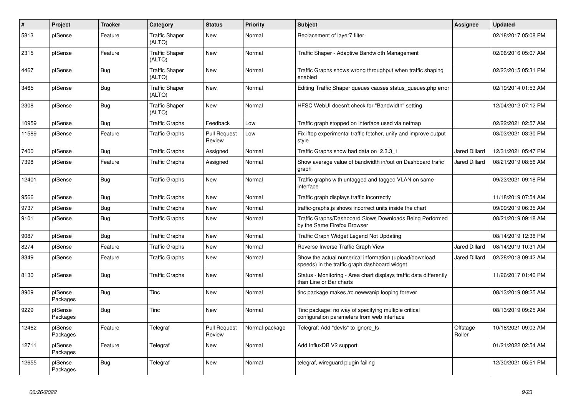| $\vert$ # | Project             | <b>Tracker</b> | Category                        | <b>Status</b>                 | <b>Priority</b> | <b>Subject</b>                                                                                          | Assignee             | <b>Updated</b>      |
|-----------|---------------------|----------------|---------------------------------|-------------------------------|-----------------|---------------------------------------------------------------------------------------------------------|----------------------|---------------------|
| 5813      | pfSense             | Feature        | <b>Traffic Shaper</b><br>(ALTQ) | New                           | Normal          | Replacement of layer7 filter                                                                            |                      | 02/18/2017 05:08 PM |
| 2315      | pfSense             | Feature        | <b>Traffic Shaper</b><br>(ALTQ) | <b>New</b>                    | Normal          | Traffic Shaper - Adaptive Bandwidth Management                                                          |                      | 02/06/2016 05:07 AM |
| 4467      | pfSense             | Bug            | <b>Traffic Shaper</b><br>(ALTQ) | <b>New</b>                    | Normal          | Traffic Graphs shows wrong throughput when traffic shaping<br>enabled                                   |                      | 02/23/2015 05:31 PM |
| 3465      | pfSense             | Bug            | <b>Traffic Shaper</b><br>(ALTQ) | <b>New</b>                    | Normal          | Editing Traffic Shaper queues causes status_queues.php error                                            |                      | 02/19/2014 01:53 AM |
| 2308      | pfSense             | Bug            | <b>Traffic Shaper</b><br>(ALTQ) | New                           | Normal          | HFSC WebUI doesn't check for "Bandwidth" setting                                                        |                      | 12/04/2012 07:12 PM |
| 10959     | pfSense             | Bug            | <b>Traffic Graphs</b>           | Feedback                      | Low             | Traffic graph stopped on interface used via netmap                                                      |                      | 02/22/2021 02:57 AM |
| 11589     | pfSense             | Feature        | <b>Traffic Graphs</b>           | <b>Pull Request</b><br>Review | Low             | Fix iftop experimental traffic fetcher, unify and improve output<br>style                               |                      | 03/03/2021 03:30 PM |
| 7400      | pfSense             | Bug            | <b>Traffic Graphs</b>           | Assigned                      | Normal          | Traffic Graphs show bad data on 2.3.3 1                                                                 | <b>Jared Dillard</b> | 12/31/2021 05:47 PM |
| 7398      | pfSense             | Feature        | <b>Traffic Graphs</b>           | Assigned                      | Normal          | Show average value of bandwidth in/out on Dashboard trafic<br>graph                                     | Jared Dillard        | 08/21/2019 08:56 AM |
| 12401     | pfSense             | Bug            | <b>Traffic Graphs</b>           | <b>New</b>                    | Normal          | Traffic graphs with untagged and tagged VLAN on same<br>interface                                       |                      | 09/23/2021 09:18 PM |
| 9566      | pfSense             | Bug            | <b>Traffic Graphs</b>           | <b>New</b>                    | Normal          | Traffic graph displays traffic incorrectly                                                              |                      | 11/18/2019 07:54 AM |
| 9737      | pfSense             | <b>Bug</b>     | <b>Traffic Graphs</b>           | <b>New</b>                    | Normal          | traffic-graphs.js shows incorrect units inside the chart                                                |                      | 09/09/2019 06:35 AM |
| 9101      | pfSense             | Bug            | <b>Traffic Graphs</b>           | <b>New</b>                    | Normal          | Traffic Graphs/Dashboard Slows Downloads Being Performed<br>by the Same Firefox Browser                 |                      | 08/21/2019 09:18 AM |
| 9087      | pfSense             | <b>Bug</b>     | <b>Traffic Graphs</b>           | <b>New</b>                    | Normal          | Traffic Graph Widget Legend Not Updating                                                                |                      | 08/14/2019 12:38 PM |
| 8274      | pfSense             | Feature        | <b>Traffic Graphs</b>           | <b>New</b>                    | Normal          | Reverse Inverse Traffic Graph View                                                                      | Jared Dillard        | 08/14/2019 10:31 AM |
| 8349      | pfSense             | Feature        | <b>Traffic Graphs</b>           | <b>New</b>                    | Normal          | Show the actual numerical information (upload/download<br>speeds) in the traffic graph dashboard widget | Jared Dillard        | 02/28/2018 09:42 AM |
| 8130      | pfSense             | Bug            | <b>Traffic Graphs</b>           | <b>New</b>                    | Normal          | Status - Monitoring - Area chart displays traffic data differently<br>than Line or Bar charts           |                      | 11/26/2017 01:40 PM |
| 8909      | pfSense<br>Packages | Bug            | Tinc                            | <b>New</b>                    | Normal          | tinc package makes /rc.newwanip looping forever                                                         |                      | 08/13/2019 09:25 AM |
| 9229      | pfSense<br>Packages | <b>Bug</b>     | Tinc                            | <b>New</b>                    | Normal          | Tinc package: no way of specifying multiple critical<br>configuration parameters from web interface     |                      | 08/13/2019 09:25 AM |
| 12462     | pfSense<br>Packages | Feature        | Telegraf                        | <b>Pull Request</b><br>Review | Normal-package  | Telegraf: Add "devfs" to ignore fs                                                                      | Offstage<br>Roller   | 10/18/2021 09:03 AM |
| 12711     | pfSense<br>Packages | Feature        | Telegraf                        | New                           | Normal          | Add InfluxDB V2 support                                                                                 |                      | 01/21/2022 02:54 AM |
| 12655     | pfSense<br>Packages | Bug            | Telegraf                        | <b>New</b>                    | Normal          | telegraf, wireguard plugin failing                                                                      |                      | 12/30/2021 05:51 PM |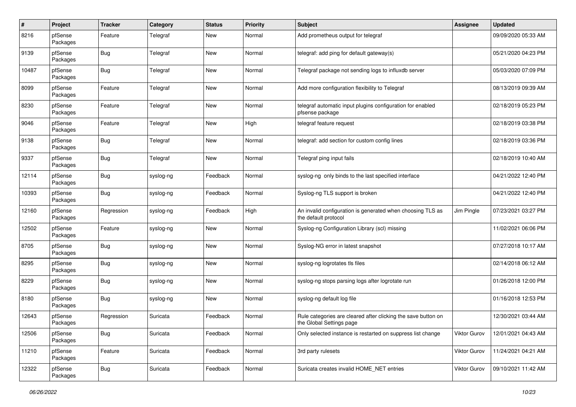| $\pmb{\#}$ | Project             | <b>Tracker</b> | Category  | <b>Status</b> | <b>Priority</b> | <b>Subject</b>                                                                            | <b>Assignee</b>     | <b>Updated</b>      |
|------------|---------------------|----------------|-----------|---------------|-----------------|-------------------------------------------------------------------------------------------|---------------------|---------------------|
| 8216       | pfSense<br>Packages | Feature        | Telegraf  | New           | Normal          | Add prometheus output for telegraf                                                        |                     | 09/09/2020 05:33 AM |
| 9139       | pfSense<br>Packages | <b>Bug</b>     | Telegraf  | New           | Normal          | telegraf: add ping for default gateway(s)                                                 |                     | 05/21/2020 04:23 PM |
| 10487      | pfSense<br>Packages | <b>Bug</b>     | Telegraf  | <b>New</b>    | Normal          | Telegraf package not sending logs to influxdb server                                      |                     | 05/03/2020 07:09 PM |
| 8099       | pfSense<br>Packages | Feature        | Telegraf  | <b>New</b>    | Normal          | Add more configuration flexibility to Telegraf                                            |                     | 08/13/2019 09:39 AM |
| 8230       | pfSense<br>Packages | Feature        | Telegraf  | <b>New</b>    | Normal          | telegraf automatic input plugins configuration for enabled<br>pfsense package             |                     | 02/18/2019 05:23 PM |
| 9046       | pfSense<br>Packages | Feature        | Telegraf  | <b>New</b>    | High            | telegraf feature request                                                                  |                     | 02/18/2019 03:38 PM |
| 9138       | pfSense<br>Packages | <b>Bug</b>     | Telegraf  | <b>New</b>    | Normal          | telegraf: add section for custom config lines                                             |                     | 02/18/2019 03:36 PM |
| 9337       | pfSense<br>Packages | <b>Bug</b>     | Telegraf  | <b>New</b>    | Normal          | Telegraf ping input fails                                                                 |                     | 02/18/2019 10:40 AM |
| 12114      | pfSense<br>Packages | <b>Bug</b>     | syslog-ng | Feedback      | Normal          | syslog-ng only binds to the last specified interface                                      |                     | 04/21/2022 12:40 PM |
| 10393      | pfSense<br>Packages | <b>Bug</b>     | syslog-ng | Feedback      | Normal          | Syslog-ng TLS support is broken                                                           |                     | 04/21/2022 12:40 PM |
| 12160      | pfSense<br>Packages | Regression     | syslog-ng | Feedback      | High            | An invalid configuration is generated when choosing TLS as<br>the default protocol        | Jim Pingle          | 07/23/2021 03:27 PM |
| 12502      | pfSense<br>Packages | Feature        | syslog-ng | <b>New</b>    | Normal          | Syslog-ng Configuration Library (scl) missing                                             |                     | 11/02/2021 06:06 PM |
| 8705       | pfSense<br>Packages | <b>Bug</b>     | syslog-ng | <b>New</b>    | Normal          | Syslog-NG error in latest snapshot                                                        |                     | 07/27/2018 10:17 AM |
| 8295       | pfSense<br>Packages | <b>Bug</b>     | syslog-ng | <b>New</b>    | Normal          | syslog-ng logrotates tls files                                                            |                     | 02/14/2018 06:12 AM |
| 8229       | pfSense<br>Packages | <b>Bug</b>     | syslog-ng | <b>New</b>    | Normal          | syslog-ng stops parsing logs after logrotate run                                          |                     | 01/26/2018 12:00 PM |
| 8180       | pfSense<br>Packages | <b>Bug</b>     | syslog-ng | <b>New</b>    | Normal          | syslog-ng default log file                                                                |                     | 01/16/2018 12:53 PM |
| 12643      | pfSense<br>Packages | Regression     | Suricata  | Feedback      | Normal          | Rule categories are cleared after clicking the save button on<br>the Global Settings page |                     | 12/30/2021 03:44 AM |
| 12506      | pfSense<br>Packages | Bug            | Suricata  | Feedback      | Normal          | Only selected instance is restarted on suppress list change                               | Viktor Gurov        | 12/01/2021 04:43 AM |
| 11210      | pfSense<br>Packages | Feature        | Suricata  | Feedback      | Normal          | 3rd party rulesets                                                                        | Viktor Gurov        | 11/24/2021 04:21 AM |
| 12322      | pfSense<br>Packages | i Bug          | Suricata  | Feedback      | Normal          | Suricata creates invalid HOME_NET entries                                                 | <b>Viktor Gurov</b> | 09/10/2021 11:42 AM |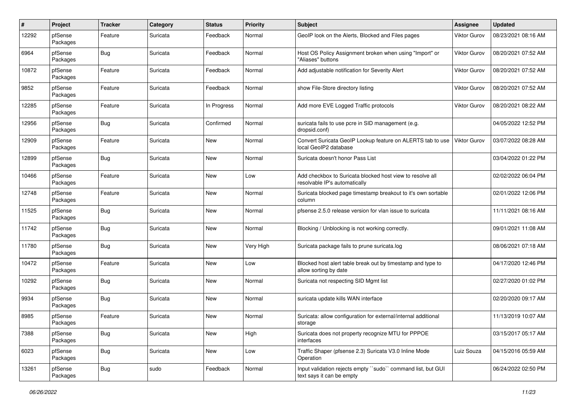| #     | Project             | <b>Tracker</b> | Category | <b>Status</b> | <b>Priority</b> | <b>Subject</b>                                                                             | Assignee            | <b>Updated</b>      |
|-------|---------------------|----------------|----------|---------------|-----------------|--------------------------------------------------------------------------------------------|---------------------|---------------------|
| 12292 | pfSense<br>Packages | Feature        | Suricata | Feedback      | Normal          | GeoIP look on the Alerts, Blocked and Files pages                                          | Viktor Gurov        | 08/23/2021 08:16 AM |
| 6964  | pfSense<br>Packages | <b>Bug</b>     | Suricata | Feedback      | Normal          | Host OS Policy Assignment broken when using "Import" or<br>"Aliases" buttons               | Viktor Gurov        | 08/20/2021 07:52 AM |
| 10872 | pfSense<br>Packages | Feature        | Suricata | Feedback      | Normal          | Add adjustable notification for Severity Alert                                             | Viktor Gurov        | 08/20/2021 07:52 AM |
| 9852  | pfSense<br>Packages | Feature        | Suricata | Feedback      | Normal          | show File-Store directory listing                                                          | <b>Viktor Gurov</b> | 08/20/2021 07:52 AM |
| 12285 | pfSense<br>Packages | Feature        | Suricata | In Progress   | Normal          | Add more EVE Logged Traffic protocols                                                      | <b>Viktor Gurov</b> | 08/20/2021 08:22 AM |
| 12956 | pfSense<br>Packages | <b>Bug</b>     | Suricata | Confirmed     | Normal          | suricata fails to use pcre in SID management (e.g.<br>dropsid.conf)                        |                     | 04/05/2022 12:52 PM |
| 12909 | pfSense<br>Packages | Feature        | Suricata | New           | Normal          | Convert Suricata GeoIP Lookup feature on ALERTS tab to use<br>local GeoIP2 database        | <b>Viktor Gurov</b> | 03/07/2022 08:28 AM |
| 12899 | pfSense<br>Packages | <b>Bug</b>     | Suricata | New           | Normal          | Suricata doesn't honor Pass List                                                           |                     | 03/04/2022 01:22 PM |
| 10466 | pfSense<br>Packages | Feature        | Suricata | New           | Low             | Add checkbox to Suricata blocked host view to resolve all<br>resolvable IP's automatically |                     | 02/02/2022 06:04 PM |
| 12748 | pfSense<br>Packages | Feature        | Suricata | New           | Normal          | Suricata blocked page timestamp breakout to it's own sortable<br>column                    |                     | 02/01/2022 12:06 PM |
| 11525 | pfSense<br>Packages | Bug            | Suricata | <b>New</b>    | Normal          | pfsense 2.5.0 release version for vlan issue to suricata                                   |                     | 11/11/2021 08:16 AM |
| 11742 | pfSense<br>Packages | <b>Bug</b>     | Suricata | New           | Normal          | Blocking / Unblocking is not working correctly.                                            |                     | 09/01/2021 11:08 AM |
| 11780 | pfSense<br>Packages | <b>Bug</b>     | Suricata | New           | Very High       | Suricata package fails to prune suricata.log                                               |                     | 08/06/2021 07:18 AM |
| 10472 | pfSense<br>Packages | Feature        | Suricata | New           | Low             | Blocked host alert table break out by timestamp and type to<br>allow sorting by date       |                     | 04/17/2020 12:46 PM |
| 10292 | pfSense<br>Packages | <b>Bug</b>     | Suricata | New           | Normal          | Suricata not respecting SID Mgmt list                                                      |                     | 02/27/2020 01:02 PM |
| 9934  | pfSense<br>Packages | <b>Bug</b>     | Suricata | New           | Normal          | suricata update kills WAN interface                                                        |                     | 02/20/2020 09:17 AM |
| 8985  | pfSense<br>Packages | Feature        | Suricata | New           | Normal          | Suricata: allow configuration for external/internal additional<br>storage                  |                     | 11/13/2019 10:07 AM |
| 7388  | pfSense<br>Packages | i Bug          | Suricata | New           | High            | Suricata does not property recognize MTU for PPPOE<br>interfaces                           |                     | 03/15/2017 05:17 AM |
| 6023  | pfSense<br>Packages | <b>Bug</b>     | Suricata | New           | Low             | Traffic Shaper (pfsense 2.3) Suricata V3.0 Inline Mode<br>Operation                        | Luiz Souza          | 04/15/2016 05:59 AM |
| 13261 | pfSense<br>Packages | <b>Bug</b>     | sudo     | Feedback      | Normal          | Input validation rejects empty "sudo" command list, but GUI<br>text says it can be empty   |                     | 06/24/2022 02:50 PM |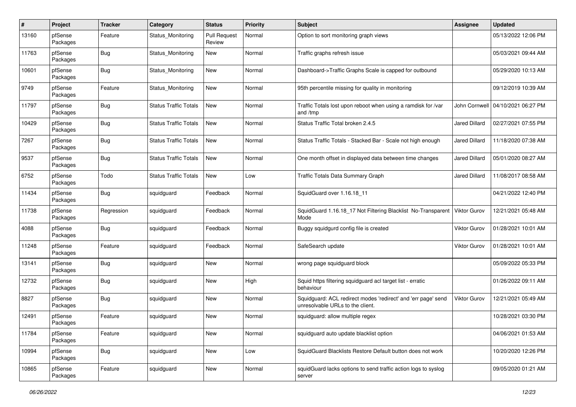| $\pmb{\#}$ | Project             | <b>Tracker</b> | Category                     | <b>Status</b>                 | <b>Priority</b> | Subject                                                                                           | <b>Assignee</b>      | <b>Updated</b>                      |
|------------|---------------------|----------------|------------------------------|-------------------------------|-----------------|---------------------------------------------------------------------------------------------------|----------------------|-------------------------------------|
| 13160      | pfSense<br>Packages | Feature        | Status Monitoring            | <b>Pull Request</b><br>Review | Normal          | Option to sort monitoring graph views                                                             |                      | 05/13/2022 12:06 PM                 |
| 11763      | pfSense<br>Packages | <b>Bug</b>     | Status Monitoring            | New                           | Normal          | Traffic graphs refresh issue                                                                      |                      | 05/03/2021 09:44 AM                 |
| 10601      | pfSense<br>Packages | <b>Bug</b>     | Status Monitoring            | <b>New</b>                    | Normal          | Dashboard->Traffic Graphs Scale is capped for outbound                                            |                      | 05/29/2020 10:13 AM                 |
| 9749       | pfSense<br>Packages | Feature        | Status Monitoring            | <b>New</b>                    | Normal          | 95th percentile missing for quality in monitoring                                                 |                      | 09/12/2019 10:39 AM                 |
| 11797      | pfSense<br>Packages | <b>Bug</b>     | <b>Status Traffic Totals</b> | New                           | Normal          | Traffic Totals lost upon reboot when using a ramdisk for /var<br>and /tmp                         |                      | John Cornwell   04/10/2021 06:27 PM |
| 10429      | pfSense<br>Packages | <b>Bug</b>     | <b>Status Traffic Totals</b> | New                           | Normal          | Status Traffic Total broken 2.4.5                                                                 | <b>Jared Dillard</b> | 02/27/2021 07:55 PM                 |
| 7267       | pfSense<br>Packages | <b>Bug</b>     | <b>Status Traffic Totals</b> | New                           | Normal          | Status Traffic Totals - Stacked Bar - Scale not high enough                                       | Jared Dillard        | 11/18/2020 07:38 AM                 |
| 9537       | pfSense<br>Packages | <b>Bug</b>     | <b>Status Traffic Totals</b> | New                           | Normal          | One month offset in displayed data between time changes                                           | <b>Jared Dillard</b> | 05/01/2020 08:27 AM                 |
| 6752       | pfSense<br>Packages | Todo           | <b>Status Traffic Totals</b> | New                           | Low             | <b>Traffic Totals Data Summary Graph</b>                                                          | Jared Dillard        | 11/08/2017 08:58 AM                 |
| 11434      | pfSense<br>Packages | Bug            | squidguard                   | Feedback                      | Normal          | SquidGuard over 1.16.18 11                                                                        |                      | 04/21/2022 12:40 PM                 |
| 11738      | pfSense<br>Packages | Regression     | squidguard                   | Feedback                      | Normal          | SquidGuard 1.16.18_17 Not Filtering Blacklist No-Transparent<br>Mode                              | Viktor Gurov         | 12/21/2021 05:48 AM                 |
| 4088       | pfSense<br>Packages | <b>Bug</b>     | squidguard                   | Feedback                      | Normal          | Buggy squidgurd config file is created                                                            | Viktor Gurov         | 01/28/2021 10:01 AM                 |
| 11248      | pfSense<br>Packages | Feature        | squidguard                   | Feedback                      | Normal          | SafeSearch update                                                                                 | Viktor Gurov         | 01/28/2021 10:01 AM                 |
| 13141      | pfSense<br>Packages | Bug            | squidguard                   | New                           | Normal          | wrong page squidguard block                                                                       |                      | 05/09/2022 05:33 PM                 |
| 12732      | pfSense<br>Packages | <b>Bug</b>     | squidguard                   | New                           | High            | Squid https filtering squidguard acl target list - erratic<br>behaviour                           |                      | 01/26/2022 09:11 AM                 |
| 8827       | pfSense<br>Packages | <b>Bug</b>     | squidguard                   | New                           | Normal          | Squidguard: ACL redirect modes 'redirect' and 'err page' send<br>unresolvable URLs to the client. | Viktor Gurov         | 12/21/2021 05:49 AM                 |
| 12491      | pfSense<br>Packages | Feature        | squidguard                   | New                           | Normal          | squidquard: allow multiple regex                                                                  |                      | 10/28/2021 03:30 PM                 |
| 11784      | pfSense<br>Packages | Feature        | squidguard                   | New                           | Normal          | squidguard auto update blacklist option                                                           |                      | 04/06/2021 01:53 AM                 |
| 10994      | pfSense<br>Packages | Bug            | squidguard                   | New                           | Low             | SquidGuard Blacklists Restore Default button does not work                                        |                      | 10/20/2020 12:26 PM                 |
| 10865      | pfSense<br>Packages | Feature        | squidguard                   | New                           | Normal          | squidGuard lacks options to send traffic action logs to syslog<br>server                          |                      | 09/05/2020 01:21 AM                 |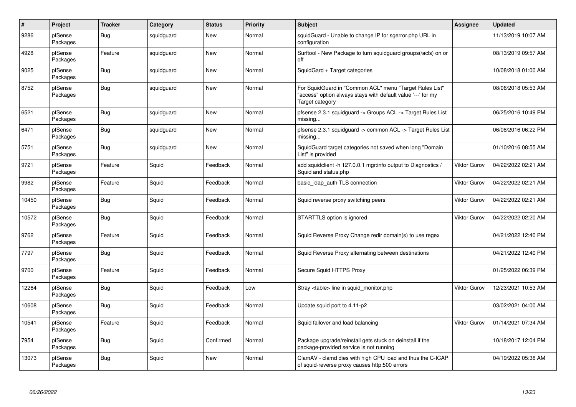| $\pmb{\#}$ | Project             | <b>Tracker</b> | Category   | <b>Status</b> | <b>Priority</b> | <b>Subject</b>                                                                                                                             | <b>Assignee</b>     | Updated             |
|------------|---------------------|----------------|------------|---------------|-----------------|--------------------------------------------------------------------------------------------------------------------------------------------|---------------------|---------------------|
| 9286       | pfSense<br>Packages | Bug            | squidguard | New           | Normal          | squidGuard - Unable to change IP for sgerror.php URL in<br>configuration                                                                   |                     | 11/13/2019 10:07 AM |
| 4928       | pfSense<br>Packages | Feature        | squidguard | <b>New</b>    | Normal          | Surftool - New Package to turn squidguard groups(/acls) on or<br>off                                                                       |                     | 08/13/2019 09:57 AM |
| 9025       | pfSense<br>Packages | Bug            | squidguard | New           | Normal          | SquidGard + Target categories                                                                                                              |                     | 10/08/2018 01:00 AM |
| 8752       | pfSense<br>Packages | <b>Bug</b>     | squidguard | <b>New</b>    | Normal          | For SquidGuard in "Common ACL" menu "Target Rules List"<br>'access" option always stays with default value '---' for my<br>Target category |                     | 08/06/2018 05:53 AM |
| 6521       | pfSense<br>Packages | <b>Bug</b>     | squidguard | <b>New</b>    | Normal          | pfsense 2.3.1 squidguard -> Groups ACL -> Target Rules List<br>missing                                                                     |                     | 06/25/2016 10:49 PM |
| 6471       | pfSense<br>Packages | Bug            | squidguard | New           | Normal          | pfsense 2.3.1 squidguard -> common ACL -> Target Rules List<br>missing                                                                     |                     | 06/08/2016 06:22 PM |
| 5751       | pfSense<br>Packages | <b>Bug</b>     | squidguard | <b>New</b>    | Normal          | SquidGuard target categories not saved when long "Domain<br>List" is provided                                                              |                     | 01/10/2016 08:55 AM |
| 9721       | pfSense<br>Packages | Feature        | Squid      | Feedback      | Normal          | add squidclient -h 127.0.0.1 mgr:info output to Diagnostics /<br>Squid and status.php                                                      | <b>Viktor Gurov</b> | 04/22/2022 02:21 AM |
| 9982       | pfSense<br>Packages | Feature        | Squid      | Feedback      | Normal          | basic_Idap_auth TLS connection                                                                                                             | <b>Viktor Gurov</b> | 04/22/2022 02:21 AM |
| 10450      | pfSense<br>Packages | <b>Bug</b>     | Squid      | Feedback      | Normal          | Squid reverse proxy switching peers                                                                                                        | Viktor Gurov        | 04/22/2022 02:21 AM |
| 10572      | pfSense<br>Packages | Bug            | Squid      | Feedback      | Normal          | STARTTLS option is ignored                                                                                                                 | <b>Viktor Gurov</b> | 04/22/2022 02:20 AM |
| 9762       | pfSense<br>Packages | Feature        | Squid      | Feedback      | Normal          | Squid Reverse Proxy Change redir domain(s) to use regex                                                                                    |                     | 04/21/2022 12:40 PM |
| 7797       | pfSense<br>Packages | Bug            | Squid      | Feedback      | Normal          | Squid Reverse Proxy alternating between destinations                                                                                       |                     | 04/21/2022 12:40 PM |
| 9700       | pfSense<br>Packages | Feature        | Squid      | Feedback      | Normal          | Secure Squid HTTPS Proxy                                                                                                                   |                     | 01/25/2022 06:39 PM |
| 12264      | pfSense<br>Packages | Bug            | Squid      | Feedback      | Low             | Stray <table> line in squid monitor.php</table>                                                                                            | <b>Viktor Gurov</b> | 12/23/2021 10:53 AM |
| 10608      | pfSense<br>Packages | <b>Bug</b>     | Squid      | Feedback      | Normal          | Update squid port to 4.11-p2                                                                                                               |                     | 03/02/2021 04:00 AM |
| 10541      | pfSense<br>Packages | Feature        | Squid      | Feedback      | Normal          | Squid failover and load balancing                                                                                                          | Viktor Gurov        | 01/14/2021 07:34 AM |
| 7954       | pfSense<br>Packages | <b>Bug</b>     | Squid      | Confirmed     | Normal          | Package upgrade/reinstall gets stuck on deinstall if the<br>package-provided service is not running                                        |                     | 10/18/2017 12:04 PM |
| 13073      | pfSense<br>Packages | <b>Bug</b>     | Squid      | <b>New</b>    | Normal          | ClamAV - clamd dies with high CPU load and thus the C-ICAP<br>of squid-reverse proxy causes http:500 errors                                |                     | 04/19/2022 05:38 AM |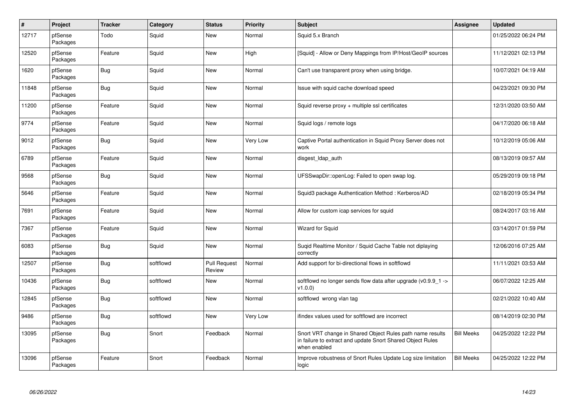| $\pmb{\#}$ | Project             | <b>Tracker</b> | Category  | <b>Status</b>                 | <b>Priority</b> | <b>Subject</b>                                                                                                                          | <b>Assignee</b>   | <b>Updated</b>      |
|------------|---------------------|----------------|-----------|-------------------------------|-----------------|-----------------------------------------------------------------------------------------------------------------------------------------|-------------------|---------------------|
| 12717      | pfSense<br>Packages | Todo           | Squid     | New                           | Normal          | Squid 5.x Branch                                                                                                                        |                   | 01/25/2022 06:24 PM |
| 12520      | pfSense<br>Packages | Feature        | Squid     | <b>New</b>                    | High            | [Squid] - Allow or Deny Mappings from IP/Host/GeoIP sources                                                                             |                   | 11/12/2021 02:13 PM |
| 1620       | pfSense<br>Packages | <b>Bug</b>     | Squid     | <b>New</b>                    | Normal          | Can't use transparent proxy when using bridge.                                                                                          |                   | 10/07/2021 04:19 AM |
| 11848      | pfSense<br>Packages | <b>Bug</b>     | Squid     | New                           | Normal          | Issue with squid cache download speed                                                                                                   |                   | 04/23/2021 09:30 PM |
| 11200      | pfSense<br>Packages | Feature        | Squid     | <b>New</b>                    | Normal          | Squid reverse proxy + multiple ssl certificates                                                                                         |                   | 12/31/2020 03:50 AM |
| 9774       | pfSense<br>Packages | Feature        | Squid     | <b>New</b>                    | Normal          | Squid logs / remote logs                                                                                                                |                   | 04/17/2020 06:18 AM |
| 9012       | pfSense<br>Packages | <b>Bug</b>     | Squid     | <b>New</b>                    | Very Low        | Captive Portal authentication in Squid Proxy Server does not<br>work                                                                    |                   | 10/12/2019 05:06 AM |
| 6789       | pfSense<br>Packages | Feature        | Squid     | <b>New</b>                    | Normal          | disgest_ldap_auth                                                                                                                       |                   | 08/13/2019 09:57 AM |
| 9568       | pfSense<br>Packages | <b>Bug</b>     | Squid     | <b>New</b>                    | Normal          | UFSSwapDir::openLog: Failed to open swap log.                                                                                           |                   | 05/29/2019 09:18 PM |
| 5646       | pfSense<br>Packages | Feature        | Squid     | <b>New</b>                    | Normal          | Squid3 package Authentication Method: Kerberos/AD                                                                                       |                   | 02/18/2019 05:34 PM |
| 7691       | pfSense<br>Packages | Feature        | Squid     | <b>New</b>                    | Normal          | Allow for custom icap services for squid                                                                                                |                   | 08/24/2017 03:16 AM |
| 7367       | pfSense<br>Packages | Feature        | Squid     | <b>New</b>                    | Normal          | <b>Wizard for Squid</b>                                                                                                                 |                   | 03/14/2017 01:59 PM |
| 6083       | pfSense<br>Packages | Bug            | Squid     | <b>New</b>                    | Normal          | Sugid Realtime Monitor / Squid Cache Table not diplaying<br>correctly                                                                   |                   | 12/06/2016 07:25 AM |
| 12507      | pfSense<br>Packages | <b>Bug</b>     | softflowd | <b>Pull Request</b><br>Review | Normal          | Add support for bi-directional flows in softflowd                                                                                       |                   | 11/11/2021 03:53 AM |
| 10436      | pfSense<br>Packages | Bug            | softflowd | <b>New</b>                    | Normal          | softflowd no longer sends flow data after upgrade (v0.9.9_1 -><br>v1.0.0                                                                |                   | 06/07/2022 12:25 AM |
| 12845      | pfSense<br>Packages | <b>Bug</b>     | softflowd | <b>New</b>                    | Normal          | softflowd wrong vlan tag                                                                                                                |                   | 02/21/2022 10:40 AM |
| 9486       | pfSense<br>Packages | <b>Bug</b>     | softflowd | <b>New</b>                    | Very Low        | ifindex values used for softflowd are incorrect                                                                                         |                   | 08/14/2019 02:30 PM |
| 13095      | pfSense<br>Packages | <b>Bug</b>     | Snort     | Feedback                      | Normal          | Snort VRT change in Shared Object Rules path name results<br>in failure to extract and update Snort Shared Object Rules<br>when enabled | <b>Bill Meeks</b> | 04/25/2022 12:22 PM |
| 13096      | pfSense<br>Packages | Feature        | Snort     | Feedback                      | Normal          | Improve robustness of Snort Rules Update Log size limitation<br>logic                                                                   | <b>Bill Meeks</b> | 04/25/2022 12:22 PM |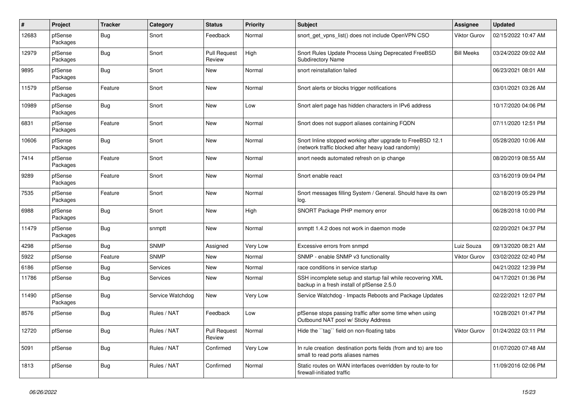| $\vert$ # | Project             | <b>Tracker</b> | Category         | <b>Status</b>                 | <b>Priority</b> | <b>Subject</b>                                                                                                    | <b>Assignee</b>     | <b>Updated</b>      |
|-----------|---------------------|----------------|------------------|-------------------------------|-----------------|-------------------------------------------------------------------------------------------------------------------|---------------------|---------------------|
| 12683     | pfSense<br>Packages | Bug            | Snort            | Feedback                      | Normal          | snort get vpns list() does not include OpenVPN CSO                                                                | <b>Viktor Gurov</b> | 02/15/2022 10:47 AM |
| 12979     | pfSense<br>Packages | Bug            | Snort            | <b>Pull Request</b><br>Review | High            | Snort Rules Update Process Using Deprecated FreeBSD<br><b>Subdirectory Name</b>                                   | <b>Bill Meeks</b>   | 03/24/2022 09:02 AM |
| 9895      | pfSense<br>Packages | Bug            | Snort            | New                           | Normal          | snort reinstallation failed                                                                                       |                     | 06/23/2021 08:01 AM |
| 11579     | pfSense<br>Packages | Feature        | Snort            | <b>New</b>                    | Normal          | Snort alerts or blocks trigger notifications                                                                      |                     | 03/01/2021 03:26 AM |
| 10989     | pfSense<br>Packages | Bug            | Snort            | <b>New</b>                    | Low             | Snort alert page has hidden characters in IPv6 address                                                            |                     | 10/17/2020 04:06 PM |
| 6831      | pfSense<br>Packages | Feature        | Snort            | <b>New</b>                    | Normal          | Snort does not support aliases containing FQDN                                                                    |                     | 07/11/2020 12:51 PM |
| 10606     | pfSense<br>Packages | Bug            | Snort            | <b>New</b>                    | Normal          | Snort Inline stopped working after upgrade to FreeBSD 12.1<br>(network traffic blocked after heavy load randomly) |                     | 05/28/2020 10:06 AM |
| 7414      | pfSense<br>Packages | Feature        | Snort            | <b>New</b>                    | Normal          | snort needs automated refresh on ip change                                                                        |                     | 08/20/2019 08:55 AM |
| 9289      | pfSense<br>Packages | Feature        | Snort            | <b>New</b>                    | Normal          | Snort enable react                                                                                                |                     | 03/16/2019 09:04 PM |
| 7535      | pfSense<br>Packages | Feature        | Snort            | <b>New</b>                    | Normal          | Snort messages filling System / General. Should have its own<br>log.                                              |                     | 02/18/2019 05:29 PM |
| 6988      | pfSense<br>Packages | Bug            | Snort            | <b>New</b>                    | High            | SNORT Package PHP memory error                                                                                    |                     | 06/28/2018 10:00 PM |
| 11479     | pfSense<br>Packages | <b>Bug</b>     | snmptt           | <b>New</b>                    | Normal          | snmptt 1.4.2 does not work in daemon mode                                                                         |                     | 02/20/2021 04:37 PM |
| 4298      | pfSense             | Bug            | <b>SNMP</b>      | Assigned                      | Very Low        | Excessive errors from snmpd                                                                                       | Luiz Souza          | 09/13/2020 08:21 AM |
| 5922      | pfSense             | Feature        | <b>SNMP</b>      | <b>New</b>                    | Normal          | SNMP - enable SNMP v3 functionality                                                                               | <b>Viktor Gurov</b> | 03/02/2022 02:40 PM |
| 6186      | pfSense             | Bug            | Services         | <b>New</b>                    | Normal          | race conditions in service startup                                                                                |                     | 04/21/2022 12:39 PM |
| 11786     | pfSense             | Bug            | <b>Services</b>  | <b>New</b>                    | Normal          | SSH incomplete setup and startup fail while recovering XML<br>backup in a fresh install of pfSense 2.5.0          |                     | 04/17/2021 01:36 PM |
| 11490     | pfSense<br>Packages | <b>Bug</b>     | Service Watchdog | <b>New</b>                    | Very Low        | Service Watchdog - Impacts Reboots and Package Updates                                                            |                     | 02/22/2021 12:07 PM |
| 8576      | pfSense             | <b>Bug</b>     | Rules / NAT      | Feedback                      | Low             | pfSense stops passing traffic after some time when using<br>Outbound NAT pool w/ Sticky Address                   |                     | 10/28/2021 01:47 PM |
| 12720     | pfSense             | Bug            | Rules / NAT      | <b>Pull Request</b><br>Review | Normal          | Hide the "tag" field on non-floating tabs                                                                         | <b>Viktor Gurov</b> | 01/24/2022 03:11 PM |
| 5091      | pfSense             | <b>Bug</b>     | Rules / NAT      | Confirmed                     | Very Low        | In rule creation destination ports fields (from and to) are too<br>small to read ports aliases names              |                     | 01/07/2020 07:48 AM |
| 1813      | pfSense             | <b>Bug</b>     | Rules / NAT      | Confirmed                     | Normal          | Static routes on WAN interfaces overridden by route-to for<br>firewall-initiated traffic                          |                     | 11/09/2016 02:06 PM |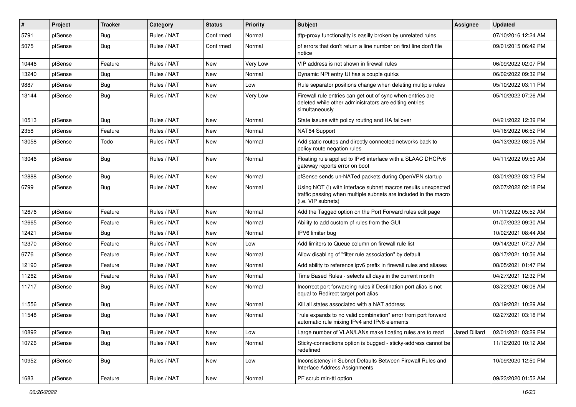| #     | Project | <b>Tracker</b> | Category    | <b>Status</b> | <b>Priority</b> | Subject                                                                                                                                                | Assignee      | <b>Updated</b>      |
|-------|---------|----------------|-------------|---------------|-----------------|--------------------------------------------------------------------------------------------------------------------------------------------------------|---------------|---------------------|
| 5791  | pfSense | Bug            | Rules / NAT | Confirmed     | Normal          | tftp-proxy functionality is easilly broken by unrelated rules                                                                                          |               | 07/10/2016 12:24 AM |
| 5075  | pfSense | Bug            | Rules / NAT | Confirmed     | Normal          | pf errors that don't return a line number on first line don't file<br>notice                                                                           |               | 09/01/2015 06:42 PM |
| 10446 | pfSense | Feature        | Rules / NAT | <b>New</b>    | Very Low        | VIP address is not shown in firewall rules                                                                                                             |               | 06/09/2022 02:07 PM |
| 13240 | pfSense | Bug            | Rules / NAT | New           | Normal          | Dynamic NPt entry UI has a couple quirks                                                                                                               |               | 06/02/2022 09:32 PM |
| 9887  | pfSense | <b>Bug</b>     | Rules / NAT | New           | Low             | Rule separator positions change when deleting multiple rules                                                                                           |               | 05/10/2022 03:11 PM |
| 13144 | pfSense | Bug            | Rules / NAT | New           | Very Low        | Firewall rule entries can get out of sync when entries are<br>deleted while other administrators are editing entries<br>simultaneously                 |               | 05/10/2022 07:26 AM |
| 10513 | pfSense | Bug            | Rules / NAT | <b>New</b>    | Normal          | State issues with policy routing and HA failover                                                                                                       |               | 04/21/2022 12:39 PM |
| 2358  | pfSense | Feature        | Rules / NAT | New           | Normal          | NAT64 Support                                                                                                                                          |               | 04/16/2022 06:52 PM |
| 13058 | pfSense | Todo           | Rules / NAT | New           | Normal          | Add static routes and directly connected networks back to<br>policy route negation rules                                                               |               | 04/13/2022 08:05 AM |
| 13046 | pfSense | Bug            | Rules / NAT | New           | Normal          | Floating rule applied to IPv6 interface with a SLAAC DHCPv6<br>gateway reports error on boot                                                           |               | 04/11/2022 09:50 AM |
| 12888 | pfSense | Bug            | Rules / NAT | <b>New</b>    | Normal          | pfSense sends un-NATed packets during OpenVPN startup                                                                                                  |               | 03/01/2022 03:13 PM |
| 6799  | pfSense | Bug            | Rules / NAT | New           | Normal          | Using NOT (!) with interface subnet macros results unexpected<br>traffic passing when multiple subnets are included in the macro<br>(i.e. VIP subnets) |               | 02/07/2022 02:18 PM |
| 12676 | pfSense | Feature        | Rules / NAT | <b>New</b>    | Normal          | Add the Tagged option on the Port Forward rules edit page                                                                                              |               | 01/11/2022 05:52 AM |
| 12665 | pfSense | Feature        | Rules / NAT | New           | Normal          | Ability to add custom pf rules from the GUI                                                                                                            |               | 01/07/2022 09:30 AM |
| 12421 | pfSense | Bug            | Rules / NAT | New           | Normal          | IPV6 limiter bug                                                                                                                                       |               | 10/02/2021 08:44 AM |
| 12370 | pfSense | Feature        | Rules / NAT | New           | Low             | Add limiters to Queue column on firewall rule list                                                                                                     |               | 09/14/2021 07:37 AM |
| 6776  | pfSense | Feature        | Rules / NAT | New           | Normal          | Allow disabling of "filter rule association" by default                                                                                                |               | 08/17/2021 10:56 AM |
| 12190 | pfSense | Feature        | Rules / NAT | New           | Normal          | Add ability to reference ipv6 prefix in firewall rules and aliases                                                                                     |               | 08/05/2021 01:47 PM |
| 11262 | pfSense | Feature        | Rules / NAT | New           | Normal          | Time Based Rules - selects all days in the current month                                                                                               |               | 04/27/2021 12:32 PM |
| 11717 | pfSense | Bug            | Rules / NAT | New           | Normal          | Incorrect port forwarding rules if Destination port alias is not<br>equal to Redirect target port alias                                                |               | 03/22/2021 06:06 AM |
| 11556 | pfSense | Bug            | Rules / NAT | New           | Normal          | Kill all states associated with a NAT address                                                                                                          |               | 03/19/2021 10:29 AM |
| 11548 | pfSense | Bug            | Rules / NAT | New           | Normal          | "rule expands to no valid combination" error from port forward<br>automatic rule mixing IPv4 and IPv6 elements                                         |               | 02/27/2021 03:18 PM |
| 10892 | pfSense | Bug            | Rules / NAT | <b>New</b>    | Low             | Large number of VLAN/LANs make floating rules are to read                                                                                              | Jared Dillard | 02/01/2021 03:29 PM |
| 10726 | pfSense | <b>Bug</b>     | Rules / NAT | New           | Normal          | Sticky-connections option is bugged - sticky-address cannot be<br>redefined                                                                            |               | 11/12/2020 10:12 AM |
| 10952 | pfSense | <b>Bug</b>     | Rules / NAT | New           | Low             | Inconsistency in Subnet Defaults Between Firewall Rules and<br>Interface Address Assignments                                                           |               | 10/09/2020 12:50 PM |
| 1683  | pfSense | Feature        | Rules / NAT | New           | Normal          | PF scrub min-ttl option                                                                                                                                |               | 09/23/2020 01:52 AM |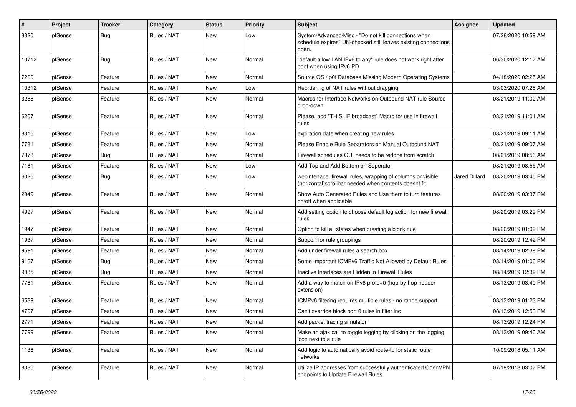| #     | Project | <b>Tracker</b> | Category    | <b>Status</b> | <b>Priority</b> | <b>Subject</b>                                                                                                                  | Assignee             | <b>Updated</b>      |
|-------|---------|----------------|-------------|---------------|-----------------|---------------------------------------------------------------------------------------------------------------------------------|----------------------|---------------------|
| 8820  | pfSense | Bug            | Rules / NAT | New           | Low             | System/Advanced/Misc - "Do not kill connections when<br>schedule expires" UN-checked still leaves existing connections<br>open. |                      | 07/28/2020 10:59 AM |
| 10712 | pfSense | Bug            | Rules / NAT | New           | Normal          | "default allow LAN IPv6 to any" rule does not work right after<br>boot when using IPv6 PD                                       |                      | 06/30/2020 12:17 AM |
| 7260  | pfSense | Feature        | Rules / NAT | New           | Normal          | Source OS / p0f Database Missing Modern Operating Systems                                                                       |                      | 04/18/2020 02:25 AM |
| 10312 | pfSense | Feature        | Rules / NAT | New           | Low             | Reordering of NAT rules without dragging                                                                                        |                      | 03/03/2020 07:28 AM |
| 3288  | pfSense | Feature        | Rules / NAT | New           | Normal          | Macros for Interface Networks on Outbound NAT rule Source<br>drop-down                                                          |                      | 08/21/2019 11:02 AM |
| 6207  | pfSense | Feature        | Rules / NAT | New           | Normal          | Please, add "THIS_IF broadcast" Macro for use in firewall<br>rules                                                              |                      | 08/21/2019 11:01 AM |
| 8316  | pfSense | Feature        | Rules / NAT | New           | Low             | expiration date when creating new rules                                                                                         |                      | 08/21/2019 09:11 AM |
| 7781  | pfSense | Feature        | Rules / NAT | New           | Normal          | Please Enable Rule Separators on Manual Outbound NAT                                                                            |                      | 08/21/2019 09:07 AM |
| 7373  | pfSense | Bug            | Rules / NAT | New           | Normal          | Firewall schedules GUI needs to be redone from scratch                                                                          |                      | 08/21/2019 08:56 AM |
| 7181  | pfSense | Feature        | Rules / NAT | New           | Low             | Add Top and Add Bottom on Seperator                                                                                             |                      | 08/21/2019 08:55 AM |
| 6026  | pfSense | Bug            | Rules / NAT | New           | Low             | webinterface, firewall rules, wrapping of columns or visible<br>(horizontal) scrollbar needed when contents doesnt fit          | <b>Jared Dillard</b> | 08/20/2019 03:40 PM |
| 2049  | pfSense | Feature        | Rules / NAT | <b>New</b>    | Normal          | Show Auto Generated Rules and Use them to turn features<br>on/off when applicable                                               |                      | 08/20/2019 03:37 PM |
| 4997  | pfSense | Feature        | Rules / NAT | <b>New</b>    | Normal          | Add setting option to choose default log action for new firewall<br>rules                                                       |                      | 08/20/2019 03:29 PM |
| 1947  | pfSense | Feature        | Rules / NAT | New           | Normal          | Option to kill all states when creating a block rule                                                                            |                      | 08/20/2019 01:09 PM |
| 1937  | pfSense | Feature        | Rules / NAT | New           | Normal          | Support for rule groupings                                                                                                      |                      | 08/20/2019 12:42 PM |
| 9591  | pfSense | Feature        | Rules / NAT | New           | Normal          | Add under firewall rules a search box                                                                                           |                      | 08/14/2019 02:39 PM |
| 9167  | pfSense | Bug            | Rules / NAT | New           | Normal          | Some Important ICMPv6 Traffic Not Allowed by Default Rules                                                                      |                      | 08/14/2019 01:00 PM |
| 9035  | pfSense | Bug            | Rules / NAT | New           | Normal          | Inactive Interfaces are Hidden in Firewall Rules                                                                                |                      | 08/14/2019 12:39 PM |
| 7761  | pfSense | Feature        | Rules / NAT | New           | Normal          | Add a way to match on IPv6 proto=0 (hop-by-hop header<br>extension)                                                             |                      | 08/13/2019 03:49 PM |
| 6539  | pfSense | Feature        | Rules / NAT | New           | Normal          | ICMPv6 filtering requires multiple rules - no range support                                                                     |                      | 08/13/2019 01:23 PM |
| 4707  | pfSense | Feature        | Rules / NAT | New           | Normal          | Can't override block port 0 rules in filter.inc                                                                                 |                      | 08/13/2019 12:53 PM |
| 2771  | pfSense | Feature        | Rules / NAT | New           | Normal          | Add packet tracing simulator                                                                                                    |                      | 08/13/2019 12:24 PM |
| 7799  | pfSense | Feature        | Rules / NAT | New           | Normal          | Make an ajax call to toggle logging by clicking on the logging<br>icon next to a rule                                           |                      | 08/13/2019 09:40 AM |
| 1136  | pfSense | Feature        | Rules / NAT | New           | Normal          | Add logic to automatically avoid route-to for static route<br>networks                                                          |                      | 10/09/2018 05:11 AM |
| 8385  | pfSense | Feature        | Rules / NAT | New           | Normal          | Utilize IP addresses from successfully authenticated OpenVPN<br>endpoints to Update Firewall Rules                              |                      | 07/19/2018 03:07 PM |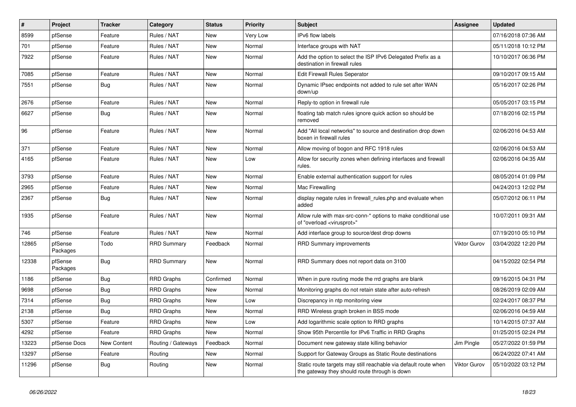| $\pmb{\#}$ | Project             | <b>Tracker</b> | Category           | <b>Status</b> | <b>Priority</b> | <b>Subject</b>                                                                                                   | <b>Assignee</b>     | <b>Updated</b>      |
|------------|---------------------|----------------|--------------------|---------------|-----------------|------------------------------------------------------------------------------------------------------------------|---------------------|---------------------|
| 8599       | pfSense             | Feature        | Rules / NAT        | <b>New</b>    | Very Low        | IPv6 flow labels                                                                                                 |                     | 07/16/2018 07:36 AM |
| 701        | pfSense             | Feature        | Rules / NAT        | <b>New</b>    | Normal          | Interface groups with NAT                                                                                        |                     | 05/11/2018 10:12 PM |
| 7922       | pfSense             | Feature        | Rules / NAT        | <b>New</b>    | Normal          | Add the option to select the ISP IPv6 Delegated Prefix as a<br>destination in firewall rules                     |                     | 10/10/2017 06:36 PM |
| 7085       | pfSense             | Feature        | Rules / NAT        | New           | Normal          | <b>Edit Firewall Rules Seperator</b>                                                                             |                     | 09/10/2017 09:15 AM |
| 7551       | pfSense             | Bug            | Rules / NAT        | New           | Normal          | Dynamic IPsec endpoints not added to rule set after WAN<br>down/up                                               |                     | 05/16/2017 02:26 PM |
| 2676       | pfSense             | Feature        | Rules / NAT        | <b>New</b>    | Normal          | Reply-to option in firewall rule                                                                                 |                     | 05/05/2017 03:15 PM |
| 6627       | pfSense             | Bug            | Rules / NAT        | New           | Normal          | floating tab match rules ignore quick action so should be<br>removed                                             |                     | 07/18/2016 02:15 PM |
| 96         | pfSense             | Feature        | Rules / NAT        | <b>New</b>    | Normal          | Add "All local networks" to source and destination drop down<br>boxen in firewall rules                          |                     | 02/06/2016 04:53 AM |
| 371        | pfSense             | Feature        | Rules / NAT        | New           | Normal          | Allow moving of bogon and RFC 1918 rules                                                                         |                     | 02/06/2016 04:53 AM |
| 4165       | pfSense             | Feature        | Rules / NAT        | <b>New</b>    | Low             | Allow for security zones when defining interfaces and firewall<br>rules.                                         |                     | 02/06/2016 04:35 AM |
| 3793       | pfSense             | Feature        | Rules / NAT        | <b>New</b>    | Normal          | Enable external authentication support for rules                                                                 |                     | 08/05/2014 01:09 PM |
| 2965       | pfSense             | Feature        | Rules / NAT        | New           | Normal          | Mac Firewalling                                                                                                  |                     | 04/24/2013 12:02 PM |
| 2367       | pfSense             | Bug            | Rules / NAT        | New           | Normal          | display negate rules in firewall rules php and evaluate when<br>added                                            |                     | 05/07/2012 06:11 PM |
| 1935       | pfSense             | Feature        | Rules / NAT        | <b>New</b>    | Normal          | Allow rule with max-src-conn-* options to make conditional use<br>of "overload <virusprot>"</virusprot>          |                     | 10/07/2011 09:31 AM |
| 746        | pfSense             | Feature        | Rules / NAT        | <b>New</b>    | Normal          | Add interface group to source/dest drop downs                                                                    |                     | 07/19/2010 05:10 PM |
| 12865      | pfSense<br>Packages | Todo           | <b>RRD Summary</b> | Feedback      | Normal          | <b>RRD Summary improvements</b>                                                                                  | <b>Viktor Gurov</b> | 03/04/2022 12:20 PM |
| 12338      | pfSense<br>Packages | Bug            | <b>RRD Summary</b> | <b>New</b>    | Normal          | RRD Summary does not report data on 3100                                                                         |                     | 04/15/2022 02:54 PM |
| 1186       | pfSense             | Bug            | <b>RRD Graphs</b>  | Confirmed     | Normal          | When in pure routing mode the rrd graphs are blank                                                               |                     | 09/16/2015 04:31 PM |
| 9698       | pfSense             | Bug            | <b>RRD Graphs</b>  | <b>New</b>    | Normal          | Monitoring graphs do not retain state after auto-refresh                                                         |                     | 08/26/2019 02:09 AM |
| 7314       | pfSense             | <b>Bug</b>     | <b>RRD Graphs</b>  | <b>New</b>    | Low             | Discrepancy in ntp monitoring view                                                                               |                     | 02/24/2017 08:37 PM |
| 2138       | pfSense             | Bug            | <b>RRD Graphs</b>  | <b>New</b>    | Normal          | RRD Wireless graph broken in BSS mode                                                                            |                     | 02/06/2016 04:59 AM |
| 5307       | pfSense             | Feature        | <b>RRD Graphs</b>  | <b>New</b>    | Low             | Add logarithmic scale option to RRD graphs                                                                       |                     | 10/14/2015 07:37 AM |
| 4292       | pfSense             | Feature        | <b>RRD Graphs</b>  | <b>New</b>    | Normal          | Show 95th Percentile for IPv6 Traffic in RRD Graphs                                                              |                     | 01/25/2015 02:24 PM |
| 13223      | pfSense Docs        | New Content    | Routing / Gateways | Feedback      | Normal          | Document new gateway state killing behavior                                                                      | Jim Pingle          | 05/27/2022 01:59 PM |
| 13297      | pfSense             | Feature        | Routing            | New           | Normal          | Support for Gateway Groups as Static Route destinations                                                          |                     | 06/24/2022 07:41 AM |
| 11296      | pfSense             | <b>Bug</b>     | Routing            | New           | Normal          | Static route targets may still reachable via default route when<br>the gateway they should route through is down | <b>Viktor Gurov</b> | 05/10/2022 03:12 PM |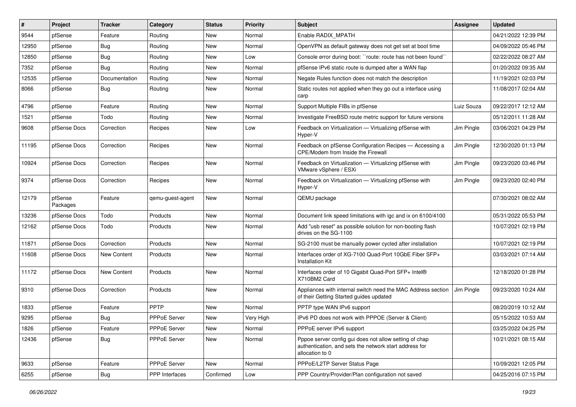| #     | Project             | <b>Tracker</b> | Category            | <b>Status</b> | <b>Priority</b> | <b>Subject</b>                                                                                                                      | <b>Assignee</b> | <b>Updated</b>      |
|-------|---------------------|----------------|---------------------|---------------|-----------------|-------------------------------------------------------------------------------------------------------------------------------------|-----------------|---------------------|
| 9544  | pfSense             | Feature        | Routing             | New           | Normal          | Enable RADIX_MPATH                                                                                                                  |                 | 04/21/2022 12:39 PM |
| 12950 | pfSense             | <b>Bug</b>     | Routing             | New           | Normal          | OpenVPN as default gateway does not get set at boot time                                                                            |                 | 04/09/2022 05:46 PM |
| 12850 | pfSense             | <b>Bug</b>     | Routing             | New           | Low             | Console error during boot: "route: route has not been found"                                                                        |                 | 02/22/2022 08:27 AM |
| 7352  | pfSense             | <b>Bug</b>     | Routing             | New           | Normal          | pfSense IPv6 static route is dumped after a WAN flap                                                                                |                 | 01/20/2022 09:35 AM |
| 12535 | pfSense             | Documentation  | Routing             | New           | Normal          | Negate Rules function does not match the description                                                                                |                 | 11/19/2021 02:03 PM |
| 8066  | pfSense             | Bug            | Routing             | New           | Normal          | Static routes not applied when they go out a interface using<br>carp                                                                |                 | 11/08/2017 02:04 AM |
| 4796  | pfSense             | Feature        | Routing             | <b>New</b>    | Normal          | Support Multiple FIBs in pfSense                                                                                                    | Luiz Souza      | 09/22/2017 12:12 AM |
| 1521  | pfSense             | Todo           | Routing             | New           | Normal          | Investigate FreeBSD route metric support for future versions                                                                        |                 | 05/12/2011 11:28 AM |
| 9608  | pfSense Docs        | Correction     | Recipes             | New           | Low             | Feedback on Virtualization - Virtualizing pfSense with<br>Hyper-V                                                                   | Jim Pingle      | 03/06/2021 04:29 PM |
| 11195 | pfSense Docs        | Correction     | Recipes             | <b>New</b>    | Normal          | Feedback on pfSense Configuration Recipes - Accessing a<br>CPE/Modem from Inside the Firewall                                       | Jim Pingle      | 12/30/2020 01:13 PM |
| 10924 | pfSense Docs        | Correction     | Recipes             | New           | Normal          | Feedback on Virtualization - Virtualizing pfSense with<br>VMware vSphere / ESXi                                                     | Jim Pingle      | 09/23/2020 03:46 PM |
| 9374  | pfSense Docs        | Correction     | Recipes             | New           | Normal          | Feedback on Virtualization - Virtualizing pfSense with<br>Hyper-V                                                                   | Jim Pingle      | 09/23/2020 02:40 PM |
| 12179 | pfSense<br>Packages | Feature        | qemu-guest-agent    | New           | Normal          | QEMU package                                                                                                                        |                 | 07/30/2021 08:02 AM |
| 13236 | pfSense Docs        | Todo           | Products            | New           | Normal          | Document link speed limitations with igc and ix on 6100/4100                                                                        |                 | 05/31/2022 05:53 PM |
| 12162 | pfSense Docs        | Todo           | Products            | New           | Normal          | Add "usb reset" as possible solution for non-booting flash<br>drives on the SG-1100                                                 |                 | 10/07/2021 02:19 PM |
| 11871 | pfSense Docs        | Correction     | Products            | New           | Normal          | SG-2100 must be manually power cycled after installation                                                                            |                 | 10/07/2021 02:19 PM |
| 11608 | pfSense Docs        | New Content    | Products            | New           | Normal          | Interfaces order of XG-7100 Quad-Port 10GbE Fiber SFP+<br><b>Installation Kit</b>                                                   |                 | 03/03/2021 07:14 AM |
| 11172 | pfSense Docs        | New Content    | Products            | New           | Normal          | Interfaces order of 10 Gigabit Quad-Port SFP+ Intel®<br>X710BM2 Card                                                                |                 | 12/18/2020 01:28 PM |
| 9310  | pfSense Docs        | Correction     | Products            | New           | Normal          | Appliances with internal switch need the MAC Address section<br>of their Getting Started guides updated                             | Jim Pingle      | 09/23/2020 10:24 AM |
| 1833  | pfSense             | Feature        | PPTP                | <b>New</b>    | Normal          | PPTP type WAN IPv6 support                                                                                                          |                 | 08/20/2019 10:12 AM |
| 9295  | pfSense             | <b>Bug</b>     | <b>PPPoE Server</b> | New           | Very High       | IPv6 PD does not work with PPPOE (Server & Client)                                                                                  |                 | 05/15/2022 10:53 AM |
| 1826  | pfSense             | Feature        | PPPoE Server        | New           | Normal          | PPPoE server IPv6 support                                                                                                           |                 | 03/25/2022 04:25 PM |
| 12436 | pfSense             | <b>Bug</b>     | PPPoE Server        | New           | Normal          | Pppoe server config gui does not allow setting of chap<br>authentication, and sets the network start address for<br>allocation to 0 |                 | 10/21/2021 08:15 AM |
| 9633  | pfSense             | Feature        | PPPoE Server        | New           | Normal          | PPPoE/L2TP Server Status Page                                                                                                       |                 | 10/09/2021 12:05 PM |
| 6255  | pfSense             | Bug            | PPP Interfaces      | Confirmed     | Low             | PPP Country/Provider/Plan configuration not saved                                                                                   |                 | 04/25/2016 07:15 PM |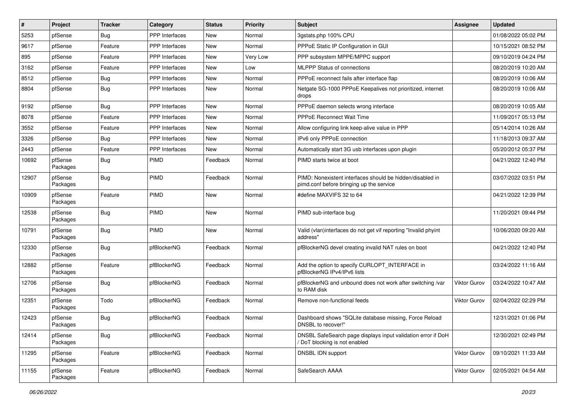| #     | Project             | <b>Tracker</b> | Category              | <b>Status</b> | <b>Priority</b> | Subject                                                                                               | <b>Assignee</b> | <b>Updated</b>      |
|-------|---------------------|----------------|-----------------------|---------------|-----------------|-------------------------------------------------------------------------------------------------------|-----------------|---------------------|
| 5253  | pfSense             | Bug            | PPP Interfaces        | New           | Normal          | 3gstats.php 100% CPU                                                                                  |                 | 01/08/2022 05:02 PM |
| 9617  | pfSense             | Feature        | <b>PPP</b> Interfaces | <b>New</b>    | Normal          | PPPoE Static IP Configuration in GUI                                                                  |                 | 10/15/2021 08:52 PM |
| 895   | pfSense             | Feature        | <b>PPP</b> Interfaces | New           | Very Low        | PPP subsystem MPPE/MPPC support                                                                       |                 | 09/10/2019 04:24 PM |
| 3162  | pfSense             | Feature        | <b>PPP</b> Interfaces | <b>New</b>    | Low             | MLPPP Status of connections                                                                           |                 | 08/20/2019 10:20 AM |
| 8512  | pfSense             | <b>Bug</b>     | PPP Interfaces        | <b>New</b>    | Normal          | PPPoE reconnect fails after interface flap                                                            |                 | 08/20/2019 10:06 AM |
| 8804  | pfSense             | Bug            | <b>PPP</b> Interfaces | New           | Normal          | Netgate SG-1000 PPPoE Keepalives not prioritized, internet<br>drops                                   |                 | 08/20/2019 10:06 AM |
| 9192  | pfSense             | Bug            | PPP Interfaces        | <b>New</b>    | Normal          | PPPoE daemon selects wrong interface                                                                  |                 | 08/20/2019 10:05 AM |
| 8078  | pfSense             | Feature        | PPP Interfaces        | New           | Normal          | <b>PPPoE Reconnect Wait Time</b>                                                                      |                 | 11/09/2017 05:13 PM |
| 3552  | pfSense             | Feature        | <b>PPP</b> Interfaces | <b>New</b>    | Normal          | Allow configuring link keep-alive value in PPP                                                        |                 | 05/14/2014 10:26 AM |
| 3326  | pfSense             | Bug            | <b>PPP</b> Interfaces | New           | Normal          | IPv6 only PPPoE connection                                                                            |                 | 11/18/2013 09:37 AM |
| 2443  | pfSense             | Feature        | <b>PPP</b> Interfaces | New           | Normal          | Automatically start 3G usb interfaces upon plugin                                                     |                 | 05/20/2012 05:37 PM |
| 10692 | pfSense<br>Packages | Bug            | <b>PIMD</b>           | Feedback      | Normal          | PIMD starts twice at boot                                                                             |                 | 04/21/2022 12:40 PM |
| 12907 | pfSense<br>Packages | Bug            | <b>PIMD</b>           | Feedback      | Normal          | PIMD: Nonexistent interfaces should be hidden/disabled in<br>pimd.conf before bringing up the service |                 | 03/07/2022 03:51 PM |
| 10909 | pfSense<br>Packages | Feature        | PIMD                  | <b>New</b>    | Normal          | #define MAXVIFS 32 to 64                                                                              |                 | 04/21/2022 12:39 PM |
| 12538 | pfSense<br>Packages | Bug            | PIMD                  | <b>New</b>    | Normal          | PIMD sub-interface bug                                                                                |                 | 11/20/2021 09:44 PM |
| 10791 | pfSense<br>Packages | <b>Bug</b>     | PIMD                  | <b>New</b>    | Normal          | Valid (vlan)interfaces do not get vif reporting "Invalid phyint<br>address"                           |                 | 10/06/2020 09:20 AM |
| 12330 | pfSense<br>Packages | Bug            | pfBlockerNG           | Feedback      | Normal          | pfBlockerNG devel creating invalid NAT rules on boot                                                  |                 | 04/21/2022 12:40 PM |
| 12882 | pfSense<br>Packages | Feature        | pfBlockerNG           | Feedback      | Normal          | Add the option to specify CURLOPT_INTERFACE in<br>pfBlockerNG IPv4/IPv6 lists                         |                 | 03/24/2022 11:16 AM |
| 12706 | pfSense<br>Packages | <b>Bug</b>     | pfBlockerNG           | Feedback      | Normal          | pfBlockerNG and unbound does not work after switching /var<br>to RAM disk                             | Viktor Gurov    | 03/24/2022 10:47 AM |
| 12351 | pfSense<br>Packages | Todo           | pfBlockerNG           | Feedback      | Normal          | Remove non-functional feeds                                                                           | Viktor Gurov    | 02/04/2022 02:29 PM |
| 12423 | pfSense<br>Packages | Bug            | pfBlockerNG           | Feedback      | Normal          | Dashboard shows "SQLite database missing, Force Reload<br>DNSBL to recover!"                          |                 | 12/31/2021 01:06 PM |
| 12414 | pfSense<br>Packages | <b>Bug</b>     | pfBlockerNG           | Feedback      | Normal          | DNSBL SafeSearch page displays input validation error if DoH<br>/ DoT blocking is not enabled         |                 | 12/30/2021 02:49 PM |
| 11295 | pfSense<br>Packages | Feature        | pfBlockerNG           | Feedback      | Normal          | <b>DNSBL IDN support</b>                                                                              | Viktor Gurov    | 09/10/2021 11:33 AM |
| 11155 | pfSense<br>Packages | Feature        | pfBlockerNG           | Feedback      | Normal          | SafeSearch AAAA                                                                                       | Viktor Gurov    | 02/05/2021 04:54 AM |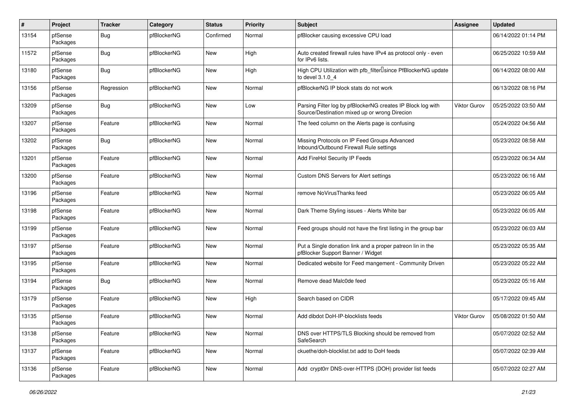| $\pmb{\#}$ | Project             | <b>Tracker</b> | Category    | <b>Status</b> | <b>Priority</b> | Subject                                                                                                      | <b>Assignee</b> | <b>Updated</b>      |
|------------|---------------------|----------------|-------------|---------------|-----------------|--------------------------------------------------------------------------------------------------------------|-----------------|---------------------|
| 13154      | pfSense<br>Packages | <b>Bug</b>     | pfBlockerNG | Confirmed     | Normal          | pfBlocker causing excessive CPU load                                                                         |                 | 06/14/2022 01:14 PM |
| 11572      | pfSense<br>Packages | Bug            | pfBlockerNG | <b>New</b>    | High            | Auto created firewall rules have IPv4 as protocol only - even<br>for IPv6 lists.                             |                 | 06/25/2022 10:59 AM |
| 13180      | pfSense<br>Packages | Bug            | pfBlockerNG | New           | High            | High CPU Utilization with pfb_filter <sup>[]</sup> since PfBlockerNG update<br>to devel 3.1.0 4              |                 | 06/14/2022 08:00 AM |
| 13156      | pfSense<br>Packages | Regression     | pfBlockerNG | New           | Normal          | pfBlockerNG IP block stats do not work                                                                       |                 | 06/13/2022 08:16 PM |
| 13209      | pfSense<br>Packages | Bug            | pfBlockerNG | New           | Low             | Parsing Filter log by pfBlockerNG creates IP Block log with<br>Source/Destination mixed up or wrong Direcion | Viktor Gurov    | 05/25/2022 03:50 AM |
| 13207      | pfSense<br>Packages | Feature        | pfBlockerNG | New           | Normal          | The feed column on the Alerts page is confusing                                                              |                 | 05/24/2022 04:56 AM |
| 13202      | pfSense<br>Packages | Bug            | pfBlockerNG | New           | Normal          | Missing Protocols on IP Feed Groups Advanced<br>Inbound/Outbound Firewall Rule settings                      |                 | 05/23/2022 08:58 AM |
| 13201      | pfSense<br>Packages | Feature        | pfBlockerNG | New           | Normal          | Add FireHol Security IP Feeds                                                                                |                 | 05/23/2022 06:34 AM |
| 13200      | pfSense<br>Packages | Feature        | pfBlockerNG | New           | Normal          | Custom DNS Servers for Alert settings                                                                        |                 | 05/23/2022 06:16 AM |
| 13196      | pfSense<br>Packages | Feature        | pfBlockerNG | <b>New</b>    | Normal          | remove NoVirusThanks feed                                                                                    |                 | 05/23/2022 06:05 AM |
| 13198      | pfSense<br>Packages | Feature        | pfBlockerNG | New           | Normal          | Dark Theme Styling issues - Alerts White bar                                                                 |                 | 05/23/2022 06:05 AM |
| 13199      | pfSense<br>Packages | Feature        | pfBlockerNG | New           | Normal          | Feed groups should not have the first listing in the group bar                                               |                 | 05/23/2022 06:03 AM |
| 13197      | pfSense<br>Packages | Feature        | pfBlockerNG | New           | Normal          | Put a Single donation link and a proper patreon lin in the<br>pfBlocker Support Banner / Widget              |                 | 05/23/2022 05:35 AM |
| 13195      | pfSense<br>Packages | Feature        | pfBlockerNG | New           | Normal          | Dedicated website for Feed mangement - Community Driven                                                      |                 | 05/23/2022 05:22 AM |
| 13194      | pfSense<br>Packages | Bug            | pfBlockerNG | New           | Normal          | Remove dead Malc0de feed                                                                                     |                 | 05/23/2022 05:16 AM |
| 13179      | pfSense<br>Packages | Feature        | pfBlockerNG | New           | High            | Search based on CIDR                                                                                         |                 | 05/17/2022 09:45 AM |
| 13135      | pfSense<br>Packages | Feature        | pfBlockerNG | New           | Normal          | Add dibdot DoH-IP-blocklists feeds                                                                           | Viktor Gurov    | 05/08/2022 01:50 AM |
| 13138      | pfSense<br>Packages | Feature        | pfBlockerNG | New           | Normal          | DNS over HTTPS/TLS Blocking should be removed from<br>SafeSearch                                             |                 | 05/07/2022 02:52 AM |
| 13137      | pfSense<br>Packages | Feature        | pfBlockerNG | New           | Normal          | ckuethe/doh-blocklist.txt add to DoH feeds                                                                   |                 | 05/07/2022 02:39 AM |
| 13136      | pfSense<br>Packages | Feature        | pfBlockerNG | New           | Normal          | Add crypt0rr DNS-over-HTTPS (DOH) provider list feeds                                                        |                 | 05/07/2022 02:27 AM |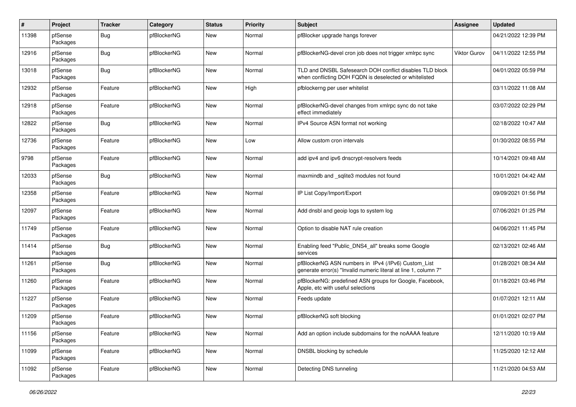| $\pmb{\#}$ | Project             | <b>Tracker</b> | Category    | <b>Status</b> | <b>Priority</b> | <b>Subject</b>                                                                                                         | <b>Assignee</b> | <b>Updated</b>      |
|------------|---------------------|----------------|-------------|---------------|-----------------|------------------------------------------------------------------------------------------------------------------------|-----------------|---------------------|
| 11398      | pfSense<br>Packages | <b>Bug</b>     | pfBlockerNG | <b>New</b>    | Normal          | pfBlocker upgrade hangs forever                                                                                        |                 | 04/21/2022 12:39 PM |
| 12916      | pfSense<br>Packages | <b>Bug</b>     | pfBlockerNG | <b>New</b>    | Normal          | pfBlockerNG-devel cron job does not trigger xmlrpc sync                                                                | Viktor Gurov    | 04/11/2022 12:55 PM |
| 13018      | pfSense<br>Packages | <b>Bug</b>     | pfBlockerNG | <b>New</b>    | Normal          | TLD and DNSBL Safesearch DOH conflict disables TLD block<br>when conflicting DOH FQDN is deselected or whitelisted     |                 | 04/01/2022 05:59 PM |
| 12932      | pfSense<br>Packages | Feature        | pfBlockerNG | New           | High            | pfblockerng per user whitelist                                                                                         |                 | 03/11/2022 11:08 AM |
| 12918      | pfSense<br>Packages | Feature        | pfBlockerNG | <b>New</b>    | Normal          | pfBlockerNG-devel changes from xmlrpc sync do not take<br>effect immediately                                           |                 | 03/07/2022 02:29 PM |
| 12822      | pfSense<br>Packages | <b>Bug</b>     | pfBlockerNG | New           | Normal          | IPv4 Source ASN format not working                                                                                     |                 | 02/18/2022 10:47 AM |
| 12736      | pfSense<br>Packages | Feature        | pfBlockerNG | New           | Low             | Allow custom cron intervals                                                                                            |                 | 01/30/2022 08:55 PM |
| 9798       | pfSense<br>Packages | Feature        | pfBlockerNG | New           | Normal          | add ipv4 and ipv6 dnscrypt-resolvers feeds                                                                             |                 | 10/14/2021 09:48 AM |
| 12033      | pfSense<br>Packages | <b>Bug</b>     | pfBlockerNG | New           | Normal          | maxmindb and _sqlite3 modules not found                                                                                |                 | 10/01/2021 04:42 AM |
| 12358      | pfSense<br>Packages | Feature        | pfBlockerNG | <b>New</b>    | Normal          | IP List Copy/Import/Export                                                                                             |                 | 09/09/2021 01:56 PM |
| 12097      | pfSense<br>Packages | Feature        | pfBlockerNG | New           | Normal          | Add dnsbl and geoip logs to system log                                                                                 |                 | 07/06/2021 01:25 PM |
| 11749      | pfSense<br>Packages | Feature        | pfBlockerNG | New           | Normal          | Option to disable NAT rule creation                                                                                    |                 | 04/06/2021 11:45 PM |
| 11414      | pfSense<br>Packages | <b>Bug</b>     | pfBlockerNG | New           | Normal          | Enabling feed "Public_DNS4_all" breaks some Google<br>services                                                         |                 | 02/13/2021 02:46 AM |
| 11261      | pfSense<br>Packages | <b>Bug</b>     | pfBlockerNG | New           | Normal          | pfBlockerNG ASN numbers in IPv4 (/IPv6) Custom_List<br>generate error(s) "Invalid numeric literal at line 1, column 7" |                 | 01/28/2021 08:34 AM |
| 11260      | pfSense<br>Packages | Feature        | pfBlockerNG | New           | Normal          | pfBlockerNG: predefined ASN groups for Google, Facebook,<br>Apple, etc with useful selections                          |                 | 01/18/2021 03:46 PM |
| 11227      | pfSense<br>Packages | Feature        | pfBlockerNG | New           | Normal          | Feeds update                                                                                                           |                 | 01/07/2021 12:11 AM |
| 11209      | pfSense<br>Packages | Feature        | pfBlockerNG | <b>New</b>    | Normal          | pfBlockerNG soft blocking                                                                                              |                 | 01/01/2021 02:07 PM |
| 11156      | pfSense<br>Packages | Feature        | pfBlockerNG | New           | Normal          | Add an option include subdomains for the noAAAA feature                                                                |                 | 12/11/2020 10:19 AM |
| 11099      | pfSense<br>Packages | Feature        | pfBlockerNG | New           | Normal          | DNSBL blocking by schedule                                                                                             |                 | 11/25/2020 12:12 AM |
| 11092      | pfSense<br>Packages | Feature        | pfBlockerNG | New           | Normal          | Detecting DNS tunneling                                                                                                |                 | 11/21/2020 04:53 AM |